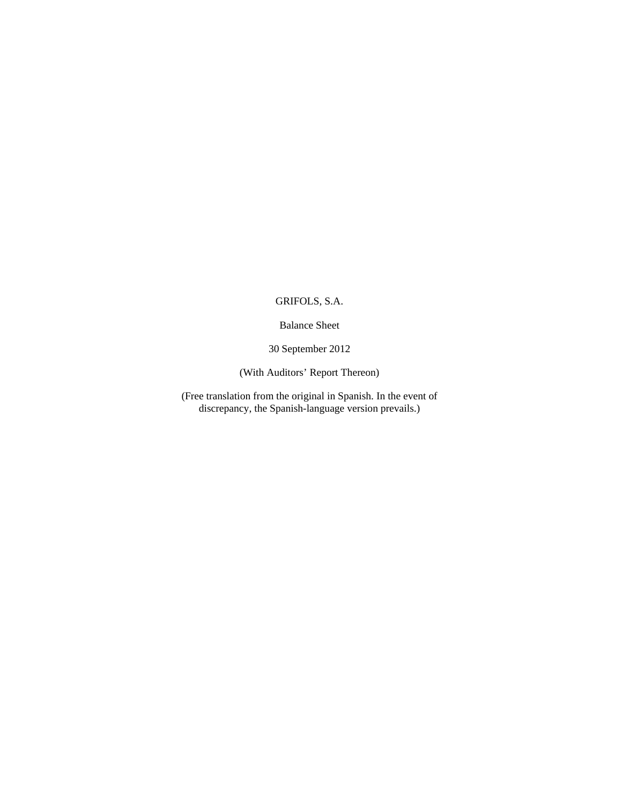Balance Sheet

30 September 2012

(With Auditors' Report Thereon)

(Free translation from the original in Spanish. In the event of discrepancy, the Spanish-language version prevails.)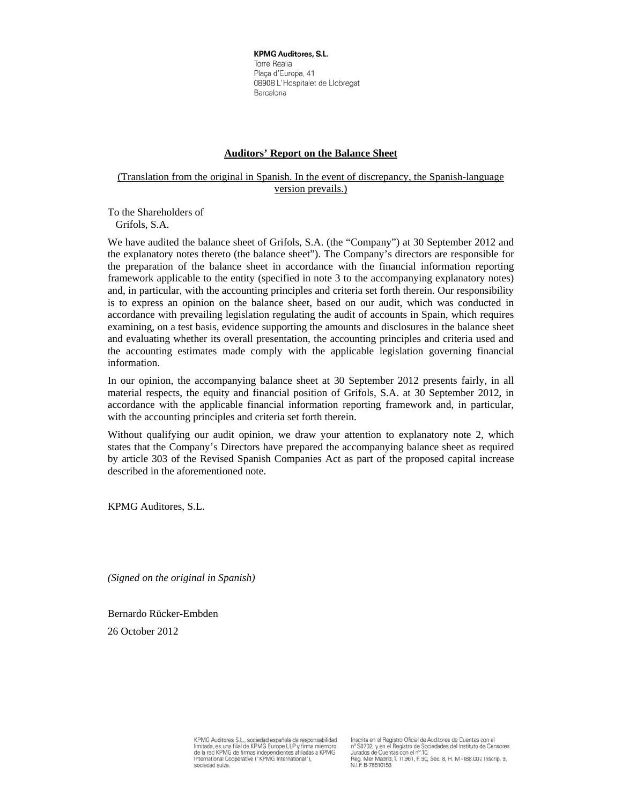**KPMG Auditores, S.L.** Torre Realia Plaça d'Europa, 41 08908 L'Hospitalet de Llobregat Barcelona

## **Auditors' Report on the Balance Sheet**

## (Translation from the original in Spanish. In the event of discrepancy, the Spanish-language version prevails.)

To the Shareholders of Grifols, S.A.

We have audited the balance sheet of Grifols, S.A. (the "Company") at 30 September 2012 and the explanatory notes thereto (the balance sheet"). The Company's directors are responsible for the preparation of the balance sheet in accordance with the financial information reporting framework applicable to the entity (specified in note 3 to the accompanying explanatory notes) and, in particular, with the accounting principles and criteria set forth therein. Our responsibility is to express an opinion on the balance sheet, based on our audit, which was conducted in accordance with prevailing legislation regulating the audit of accounts in Spain, which requires examining, on a test basis, evidence supporting the amounts and disclosures in the balance sheet and evaluating whether its overall presentation, the accounting principles and criteria used and the accounting estimates made comply with the applicable legislation governing financial information.

In our opinion, the accompanying balance sheet at 30 September 2012 presents fairly, in all material respects, the equity and financial position of Grifols, S.A. at 30 September 2012, in accordance with the applicable financial information reporting framework and, in particular, with the accounting principles and criteria set forth therein.

Without qualifying our audit opinion, we draw your attention to explanatory note 2, which states that the Company's Directors have prepared the accompanying balance sheet as required by article 303 of the Revised Spanish Companies Act as part of the proposed capital increase described in the aforementioned note.

KPMG Auditores, S.L.

*(Signed on the original in Spanish)* 

Bernardo Rücker-Embden

26 October 2012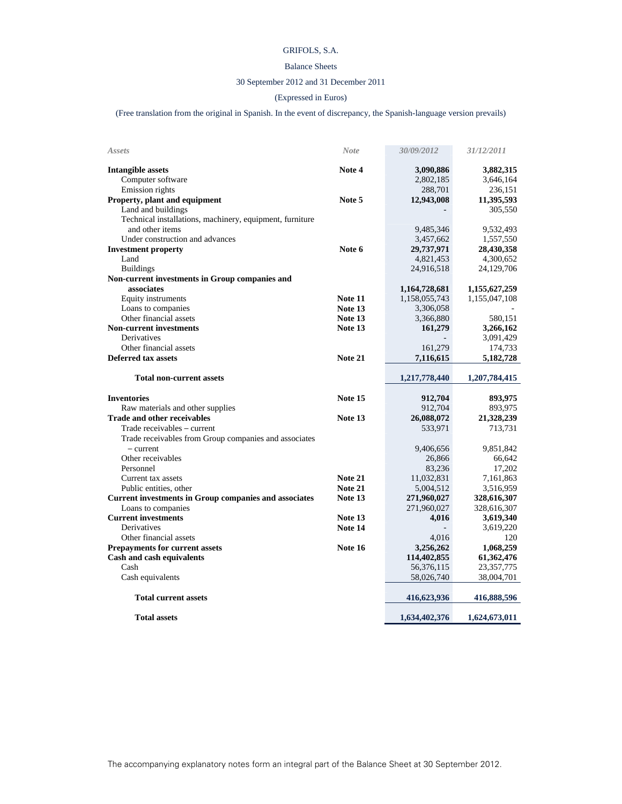## Balance Sheets

## 30 September 2012 and 31 December 2011

## (Expressed in Euros)

(Free translation from the original in Spanish. In the event of discrepancy, the Spanish-language version prevails)

| Assets                                                       | <b>Note</b>    | 30/09/2012    | 31/12/2011    |
|--------------------------------------------------------------|----------------|---------------|---------------|
| Intangible assets                                            | Note 4         | 3,090,886     | 3,882,315     |
| Computer software                                            |                | 2,802,185     | 3,646,164     |
| Emission rights                                              |                | 288,701       | 236,151       |
| Property, plant and equipment                                | Note 5         | 12,943,008    | 11,395,593    |
| Land and buildings                                           |                |               | 305,550       |
| Technical installations, machinery, equipment, furniture     |                |               |               |
| and other items                                              |                | 9,485,346     | 9,532,493     |
| Under construction and advances                              |                | 3,457,662     | 1,557,550     |
| <b>Investment property</b>                                   | Note 6         | 29,737,971    | 28,430,358    |
| Land                                                         |                | 4,821,453     | 4,300,652     |
| <b>Buildings</b>                                             |                | 24,916,518    | 24,129,706    |
| Non-current investments in Group companies and               |                |               |               |
| associates                                                   |                | 1,164,728,681 | 1,155,627,259 |
| Equity instruments                                           | Note 11        | 1,158,055,743 | 1,155,047,108 |
| Loans to companies                                           | Note 13        | 3,306,058     |               |
| Other financial assets                                       | Note 13        | 3,366,880     | 580,151       |
| <b>Non-current investments</b>                               | Note 13        | 161,279       | 3,266,162     |
| Derivatives                                                  |                |               | 3,091,429     |
| Other financial assets                                       |                | 161,279       | 174,733       |
| <b>Deferred tax assets</b>                                   | Note 21        | 7,116,615     | 5,182,728     |
| <b>Total non-current assets</b>                              |                | 1,217,778,440 | 1,207,784,415 |
| <b>Inventories</b>                                           | Note 15        | 912,704       | 893,975       |
| Raw materials and other supplies                             |                | 912,704       | 893,975       |
| <b>Trade and other receivables</b>                           | Note 13        | 26,088,072    | 21,328,239    |
| Trade receivables – current                                  |                | 533,971       | 713,731       |
| Trade receivables from Group companies and associates        |                |               |               |
| $-$ current                                                  |                | 9,406,656     | 9,851,842     |
| Other receivables                                            |                | 26,866        | 66,642        |
| Personnel                                                    |                | 83,236        | 17,202        |
| Current tax assets                                           | <b>Note 21</b> | 11,032,831    | 7,161,863     |
| Public entities, other                                       | Note 21        | 5,004,512     | 3,516,959     |
| <b>Current investments in Group companies and associates</b> | Note 13        | 271,960,027   | 328,616,307   |
| Loans to companies                                           |                | 271,960,027   | 328,616,307   |
| <b>Current investments</b>                                   | Note 13        | 4,016         | 3,619,340     |
| Derivatives                                                  | Note 14        |               | 3,619,220     |
| Other financial assets                                       |                | 4,016         | 120           |
| <b>Prepayments for current assets</b>                        | Note 16        | 3,256,262     | 1,068,259     |
| Cash and cash equivalents                                    |                | 114,402,855   | 61,362,476    |
| Cash                                                         |                | 56,376,115    | 23,357,775    |
| Cash equivalents                                             |                | 58,026,740    | 38,004,701    |
| <b>Total current assets</b>                                  |                | 416,623,936   | 416,888,596   |
|                                                              |                |               |               |
|                                                              |                |               |               |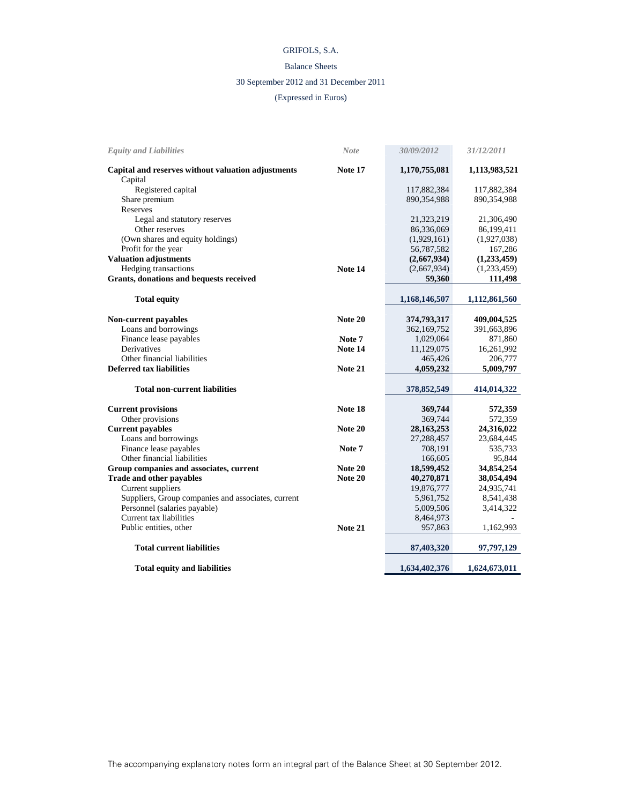## Balance Sheets

## 30 September 2012 and 31 December 2011

## (Expressed in Euros)

| <b>Equity and Liabilities</b>                      | <b>Note</b> | 30/09/2012    | 31/12/2011    |
|----------------------------------------------------|-------------|---------------|---------------|
| Capital and reserves without valuation adjustments | Note 17     | 1,170,755,081 | 1,113,983,521 |
| Capital                                            |             |               |               |
| Registered capital                                 |             | 117,882,384   | 117,882,384   |
| Share premium                                      |             | 890,354,988   | 890,354,988   |
| Reserves                                           |             |               |               |
| Legal and statutory reserves                       |             | 21,323,219    | 21,306,490    |
| Other reserves                                     |             | 86,336,069    | 86,199,411    |
| (Own shares and equity holdings)                   |             | (1,929,161)   | (1,927,038)   |
| Profit for the year                                |             | 56,787,582    | 167,286       |
| <b>Valuation adjustments</b>                       |             | (2,667,934)   | (1,233,459)   |
| Hedging transactions                               | Note 14     | (2,667,934)   | (1,233,459)   |
| Grants, donations and bequests received            |             | 59,360        | 111,498       |
| <b>Total equity</b>                                |             | 1,168,146,507 | 1,112,861,560 |
| <b>Non-current payables</b>                        | Note 20     | 374,793,317   | 409,004,525   |
| Loans and borrowings                               |             | 362,169,752   | 391,663,896   |
| Finance lease payables                             | Note 7      | 1,029,064     | 871,860       |
| Derivatives                                        | Note 14     | 11,129,075    | 16,261,992    |
| Other financial liabilities                        |             | 465,426       | 206,777       |
| <b>Deferred tax liabilities</b>                    | Note 21     | 4,059,232     | 5,009,797     |
|                                                    |             |               |               |
| <b>Total non-current liabilities</b>               |             | 378,852,549   | 414,014,322   |
| <b>Current provisions</b>                          | Note 18     | 369,744       | 572,359       |
| Other provisions                                   |             | 369,744       | 572,359       |
| <b>Current payables</b>                            | Note 20     | 28, 163, 253  | 24,316,022    |
| Loans and borrowings                               |             | 27,288,457    | 23,684,445    |
| Finance lease payables                             | Note 7      | 708,191       | 535,733       |
| Other financial liabilities                        |             | 166,605       | 95,844        |
| Group companies and associates, current            | Note 20     | 18,599,452    | 34,854,254    |
| Trade and other payables                           | Note 20     | 40,270,871    | 38,054,494    |
| Current suppliers                                  |             | 19,876,777    | 24,935,741    |
| Suppliers, Group companies and associates, current |             | 5,961,752     | 8,541,438     |
| Personnel (salaries payable)                       |             | 5,009,506     | 3,414,322     |
| Current tax liabilities                            |             | 8,464,973     |               |
| Public entities, other                             | Note 21     | 957,863       | 1,162,993     |
| <b>Total current liabilities</b>                   |             | 87,403,320    | 97,797,129    |
| <b>Total equity and liabilities</b>                |             | 1,634,402,376 | 1,624,673,011 |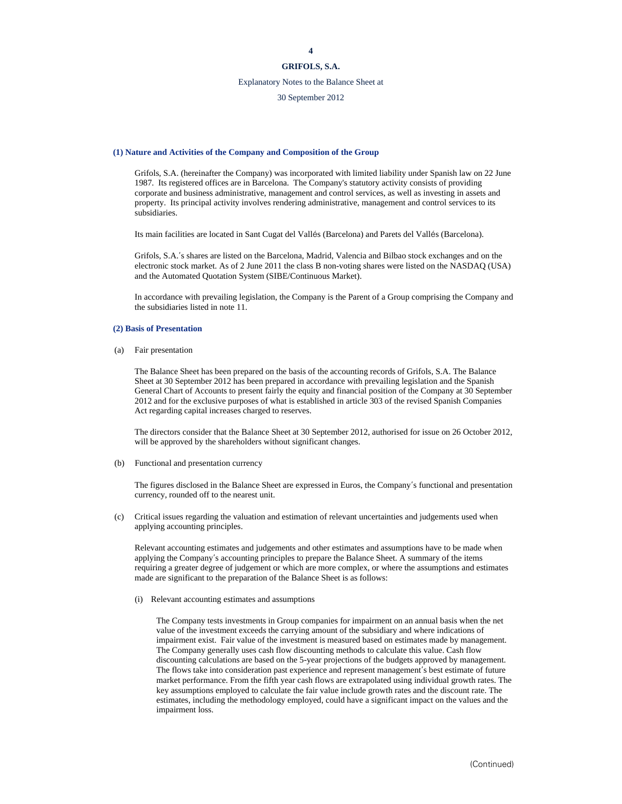## **GRIFOLS, S.A.**

## Explanatory Notes to the Balance Sheet at

30 September 2012

#### **(1) Nature and Activities of the Company and Composition of the Group**

Grifols, S.A. (hereinafter the Company) was incorporated with limited liability under Spanish law on 22 June 1987. Its registered offices are in Barcelona. The Company's statutory activity consists of providing corporate and business administrative, management and control services, as well as investing in assets and property. Its principal activity involves rendering administrative, management and control services to its subsidiaries.

Its main facilities are located in Sant Cugat del Vallés (Barcelona) and Parets del Vallés (Barcelona).

Grifols, S.A.'s shares are listed on the Barcelona, Madrid, Valencia and Bilbao stock exchanges and on the electronic stock market. As of 2 June 2011 the class B non-voting shares were listed on the NASDAQ (USA) and the Automated Quotation System (SIBE/Continuous Market).

In accordance with prevailing legislation, the Company is the Parent of a Group comprising the Company and the subsidiaries listed in note 11.

#### **(2) Basis of Presentation**

(a) Fair presentation

The Balance Sheet has been prepared on the basis of the accounting records of Grifols, S.A. The Balance Sheet at 30 September 2012 has been prepared in accordance with prevailing legislation and the Spanish General Chart of Accounts to present fairly the equity and financial position of the Company at 30 September 2012 and for the exclusive purposes of what is established in article 303 of the revised Spanish Companies Act regarding capital increases charged to reserves.

The directors consider that the Balance Sheet at 30 September 2012, authorised for issue on 26 October 2012, will be approved by the shareholders without significant changes.

#### (b) Functional and presentation currency

The figures disclosed in the Balance Sheet are expressed in Euros, the Company's functional and presentation currency, rounded off to the nearest unit.

(c) Critical issues regarding the valuation and estimation of relevant uncertainties and judgements used when applying accounting principles.

Relevant accounting estimates and judgements and other estimates and assumptions have to be made when applying the Company's accounting principles to prepare the Balance Sheet. A summary of the items requiring a greater degree of judgement or which are more complex, or where the assumptions and estimates made are significant to the preparation of the Balance Sheet is as follows:

(i) Relevant accounting estimates and assumptions

The Company tests investments in Group companies for impairment on an annual basis when the net value of the investment exceeds the carrying amount of the subsidiary and where indications of impairment exist. Fair value of the investment is measured based on estimates made by management. The Company generally uses cash flow discounting methods to calculate this value. Cash flow discounting calculations are based on the 5-year projections of the budgets approved by management. The flows take into consideration past experience and represent management's best estimate of future market performance. From the fifth year cash flows are extrapolated using individual growth rates. The key assumptions employed to calculate the fair value include growth rates and the discount rate. The estimates, including the methodology employed, could have a significant impact on the values and the impairment loss.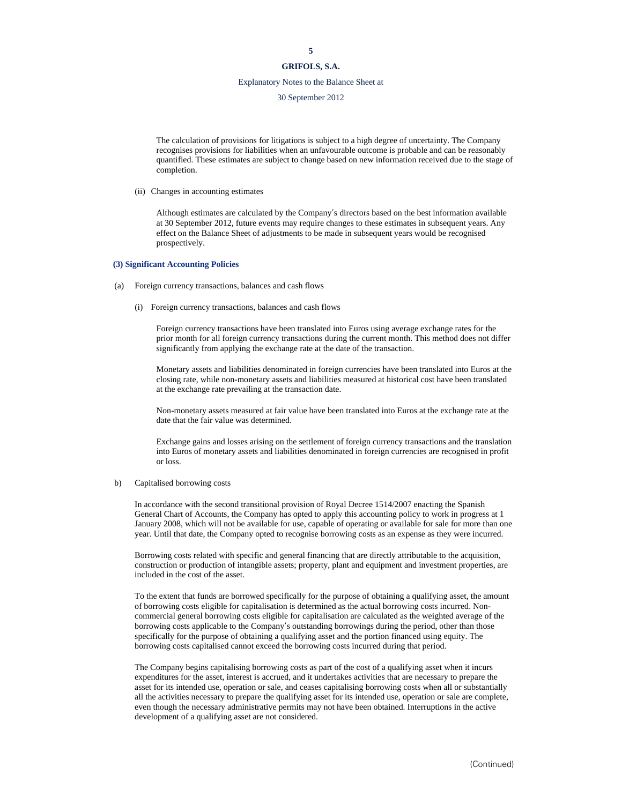# **GRIFOLS, S.A.**

## Explanatory Notes to the Balance Sheet at

30 September 2012

The calculation of provisions for litigations is subject to a high degree of uncertainty. The Company recognises provisions for liabilities when an unfavourable outcome is probable and can be reasonably quantified. These estimates are subject to change based on new information received due to the stage of completion.

(ii) Changes in accounting estimates

Although estimates are calculated by the Company's directors based on the best information available at 30 September 2012, future events may require changes to these estimates in subsequent years. Any effect on the Balance Sheet of adjustments to be made in subsequent years would be recognised prospectively.

#### **(3) Significant Accounting Policies**

- (a) Foreign currency transactions, balances and cash flows
	- (i) Foreign currency transactions, balances and cash flows

Foreign currency transactions have been translated into Euros using average exchange rates for the prior month for all foreign currency transactions during the current month. This method does not differ significantly from applying the exchange rate at the date of the transaction.

Monetary assets and liabilities denominated in foreign currencies have been translated into Euros at the closing rate, while non-monetary assets and liabilities measured at historical cost have been translated at the exchange rate prevailing at the transaction date.

Non-monetary assets measured at fair value have been translated into Euros at the exchange rate at the date that the fair value was determined.

Exchange gains and losses arising on the settlement of foreign currency transactions and the translation into Euros of monetary assets and liabilities denominated in foreign currencies are recognised in profit or loss.

#### b) Capitalised borrowing costs

In accordance with the second transitional provision of Royal Decree 1514/2007 enacting the Spanish General Chart of Accounts, the Company has opted to apply this accounting policy to work in progress at 1 January 2008, which will not be available for use, capable of operating or available for sale for more than one year. Until that date, the Company opted to recognise borrowing costs as an expense as they were incurred.

Borrowing costs related with specific and general financing that are directly attributable to the acquisition, construction or production of intangible assets; property, plant and equipment and investment properties, are included in the cost of the asset.

To the extent that funds are borrowed specifically for the purpose of obtaining a qualifying asset, the amount of borrowing costs eligible for capitalisation is determined as the actual borrowing costs incurred. Noncommercial general borrowing costs eligible for capitalisation are calculated as the weighted average of the borrowing costs applicable to the Company's outstanding borrowings during the period, other than those specifically for the purpose of obtaining a qualifying asset and the portion financed using equity. The borrowing costs capitalised cannot exceed the borrowing costs incurred during that period.

The Company begins capitalising borrowing costs as part of the cost of a qualifying asset when it incurs expenditures for the asset, interest is accrued, and it undertakes activities that are necessary to prepare the asset for its intended use, operation or sale, and ceases capitalising borrowing costs when all or substantially all the activities necessary to prepare the qualifying asset for its intended use, operation or sale are complete, even though the necessary administrative permits may not have been obtained. Interruptions in the active development of a qualifying asset are not considered.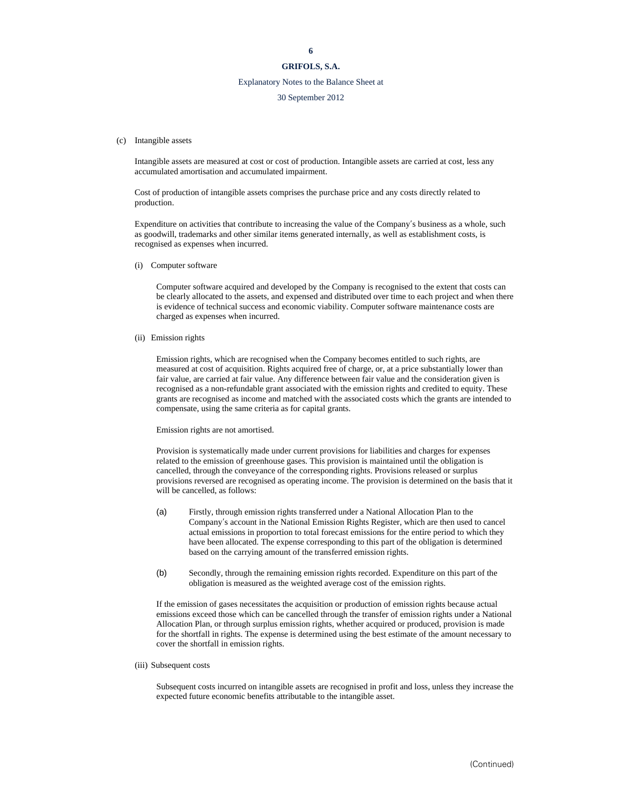## Explanatory Notes to the Balance Sheet at

#### 30 September 2012

#### (c) Intangible assets

Intangible assets are measured at cost or cost of production. Intangible assets are carried at cost, less any accumulated amortisation and accumulated impairment.

Cost of production of intangible assets comprises the purchase price and any costs directly related to production.

Expenditure on activities that contribute to increasing the value of the Company's business as a whole, such as goodwill, trademarks and other similar items generated internally, as well as establishment costs, is recognised as expenses when incurred.

(i) Computer software

Computer software acquired and developed by the Company is recognised to the extent that costs can be clearly allocated to the assets, and expensed and distributed over time to each project and when there is evidence of technical success and economic viability. Computer software maintenance costs are charged as expenses when incurred.

(ii) Emission rights

Emission rights, which are recognised when the Company becomes entitled to such rights, are measured at cost of acquisition. Rights acquired free of charge, or, at a price substantially lower than fair value, are carried at fair value. Any difference between fair value and the consideration given is recognised as a non-refundable grant associated with the emission rights and credited to equity. These grants are recognised as income and matched with the associated costs which the grants are intended to compensate, using the same criteria as for capital grants.

Emission rights are not amortised.

Provision is systematically made under current provisions for liabilities and charges for expenses related to the emission of greenhouse gases. This provision is maintained until the obligation is cancelled, through the conveyance of the corresponding rights. Provisions released or surplus provisions reversed are recognised as operating income. The provision is determined on the basis that it will be cancelled, as follows:

- (a) Firstly, through emission rights transferred under a National Allocation Plan to the Company's account in the National Emission Rights Register, which are then used to cancel actual emissions in proportion to total forecast emissions for the entire period to which they have been allocated. The expense corresponding to this part of the obligation is determined based on the carrying amount of the transferred emission rights.
- (b) Secondly, through the remaining emission rights recorded. Expenditure on this part of the obligation is measured as the weighted average cost of the emission rights.

If the emission of gases necessitates the acquisition or production of emission rights because actual emissions exceed those which can be cancelled through the transfer of emission rights under a National Allocation Plan, or through surplus emission rights, whether acquired or produced, provision is made for the shortfall in rights. The expense is determined using the best estimate of the amount necessary to cover the shortfall in emission rights.

(iii) Subsequent costs

Subsequent costs incurred on intangible assets are recognised in profit and loss, unless they increase the expected future economic benefits attributable to the intangible asset.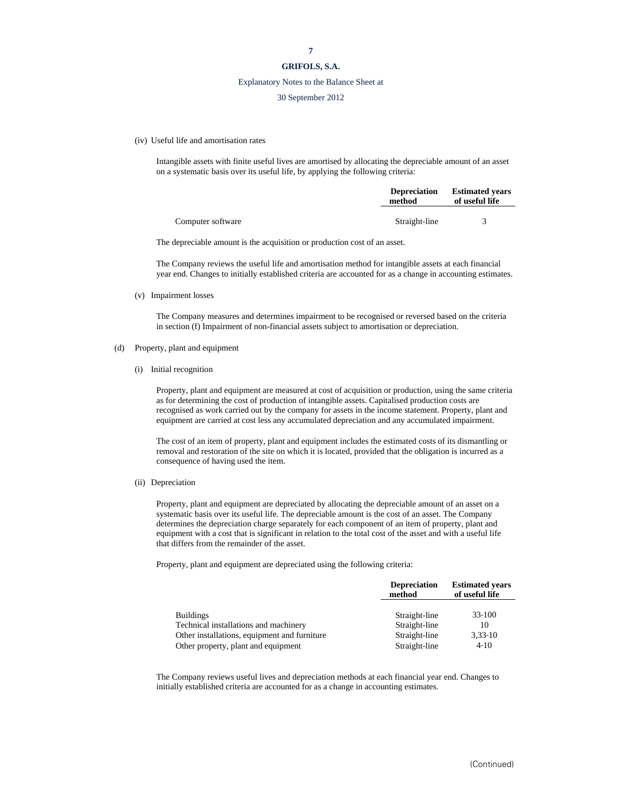## **GRIFOLS, S.A.**

#### Explanatory Notes to the Balance Sheet at

#### 30 September 2012

(iv) Useful life and amortisation rates

Intangible assets with finite useful lives are amortised by allocating the depreciable amount of an asset on a systematic basis over its useful life, by applying the following criteria:

|                   | <b>Depreciation</b><br>method | <b>Estimated vears</b><br>of useful life |
|-------------------|-------------------------------|------------------------------------------|
| Computer software | Straight-line                 |                                          |

The depreciable amount is the acquisition or production cost of an asset.

The Company reviews the useful life and amortisation method for intangible assets at each financial year end. Changes to initially established criteria are accounted for as a change in accounting estimates.

(v) Impairment losses

The Company measures and determines impairment to be recognised or reversed based on the criteria in section (f) Impairment of non-financial assets subject to amortisation or depreciation.

- (d) Property, plant and equipment
	- (i) Initial recognition

Property, plant and equipment are measured at cost of acquisition or production, using the same criteria as for determining the cost of production of intangible assets. Capitalised production costs are recognised as work carried out by the company for assets in the income statement. Property, plant and equipment are carried at cost less any accumulated depreciation and any accumulated impairment.

The cost of an item of property, plant and equipment includes the estimated costs of its dismantling or removal and restoration of the site on which it is located, provided that the obligation is incurred as a consequence of having used the item.

(ii) Depreciation

Property, plant and equipment are depreciated by allocating the depreciable amount of an asset on a systematic basis over its useful life. The depreciable amount is the cost of an asset. The Company determines the depreciation charge separately for each component of an item of property, plant and equipment with a cost that is significant in relation to the total cost of the asset and with a useful life that differs from the remainder of the asset.

Property, plant and equipment are depreciated using the following criteria:

|                                              | <b>Depreciation</b><br>method | <b>Estimated years</b><br>of useful life |
|----------------------------------------------|-------------------------------|------------------------------------------|
| <b>Buildings</b>                             | Straight-line                 | $33-100$                                 |
| Technical installations and machinery        | Straight-line                 | 10                                       |
| Other installations, equipment and furniture | Straight-line                 | $3,33-10$                                |
| Other property, plant and equipment          | Straight-line                 | $4 - 10$                                 |

The Company reviews useful lives and depreciation methods at each financial year end. Changes to initially established criteria are accounted for as a change in accounting estimates.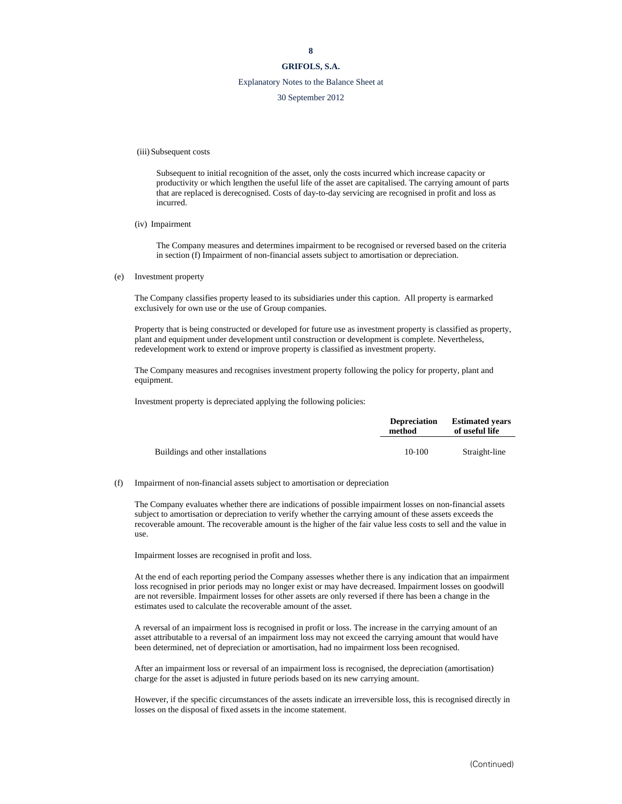## Explanatory Notes to the Balance Sheet at

30 September 2012

(iii) Subsequent costs

Subsequent to initial recognition of the asset, only the costs incurred which increase capacity or productivity or which lengthen the useful life of the asset are capitalised. The carrying amount of parts that are replaced is derecognised. Costs of day-to-day servicing are recognised in profit and loss as incurred.

(iv) Impairment

The Company measures and determines impairment to be recognised or reversed based on the criteria in section (f) Impairment of non-financial assets subject to amortisation or depreciation.

(e) Investment property

The Company classifies property leased to its subsidiaries under this caption. All property is earmarked exclusively for own use or the use of Group companies.

Property that is being constructed or developed for future use as investment property is classified as property, plant and equipment under development until construction or development is complete. Nevertheless, redevelopment work to extend or improve property is classified as investment property.

The Company measures and recognises investment property following the policy for property, plant and equipment.

Investment property is depreciated applying the following policies:

|                                   | <b>Depreciation</b><br>method | <b>Estimated vears</b><br>of useful life |  |
|-----------------------------------|-------------------------------|------------------------------------------|--|
| Buildings and other installations | 10-100                        | Straight-line                            |  |

#### (f) Impairment of non-financial assets subject to amortisation or depreciation

The Company evaluates whether there are indications of possible impairment losses on non-financial assets subject to amortisation or depreciation to verify whether the carrying amount of these assets exceeds the recoverable amount. The recoverable amount is the higher of the fair value less costs to sell and the value in use.

Impairment losses are recognised in profit and loss.

At the end of each reporting period the Company assesses whether there is any indication that an impairment loss recognised in prior periods may no longer exist or may have decreased. Impairment losses on goodwill are not reversible. Impairment losses for other assets are only reversed if there has been a change in the estimates used to calculate the recoverable amount of the asset.

A reversal of an impairment loss is recognised in profit or loss. The increase in the carrying amount of an asset attributable to a reversal of an impairment loss may not exceed the carrying amount that would have been determined, net of depreciation or amortisation, had no impairment loss been recognised.

After an impairment loss or reversal of an impairment loss is recognised, the depreciation (amortisation) charge for the asset is adjusted in future periods based on its new carrying amount.

However, if the specific circumstances of the assets indicate an irreversible loss, this is recognised directly in losses on the disposal of fixed assets in the income statement.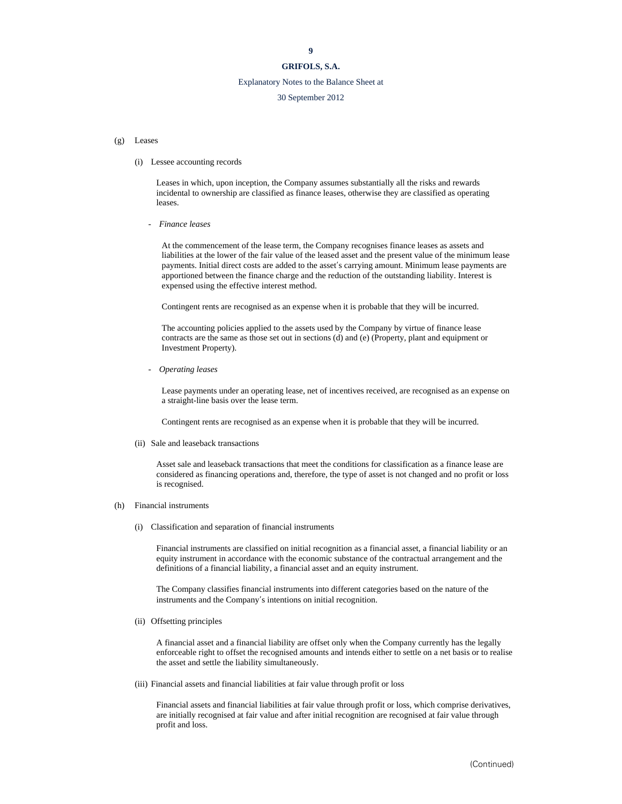## Explanatory Notes to the Balance Sheet at

## 30 September 2012

#### (g) Leases

#### (i) Lessee accounting records

Leases in which, upon inception, the Company assumes substantially all the risks and rewards incidental to ownership are classified as finance leases, otherwise they are classified as operating leases.

- *Finance leases* 

At the commencement of the lease term, the Company recognises finance leases as assets and liabilities at the lower of the fair value of the leased asset and the present value of the minimum lease payments. Initial direct costs are added to the asset's carrying amount. Minimum lease payments are apportioned between the finance charge and the reduction of the outstanding liability. Interest is expensed using the effective interest method.

Contingent rents are recognised as an expense when it is probable that they will be incurred.

The accounting policies applied to the assets used by the Company by virtue of finance lease contracts are the same as those set out in sections (d) and (e) (Property, plant and equipment or Investment Property).

- *Operating leases* 

Lease payments under an operating lease, net of incentives received, are recognised as an expense on a straight-line basis over the lease term.

Contingent rents are recognised as an expense when it is probable that they will be incurred.

(ii) Sale and leaseback transactions

Asset sale and leaseback transactions that meet the conditions for classification as a finance lease are considered as financing operations and, therefore, the type of asset is not changed and no profit or loss is recognised.

#### (h) Financial instruments

(i) Classification and separation of financial instruments

Financial instruments are classified on initial recognition as a financial asset, a financial liability or an equity instrument in accordance with the economic substance of the contractual arrangement and the definitions of a financial liability, a financial asset and an equity instrument.

The Company classifies financial instruments into different categories based on the nature of the instruments and the Company's intentions on initial recognition.

(ii) Offsetting principles

A financial asset and a financial liability are offset only when the Company currently has the legally enforceable right to offset the recognised amounts and intends either to settle on a net basis or to realise the asset and settle the liability simultaneously.

(iii) Financial assets and financial liabilities at fair value through profit or loss

Financial assets and financial liabilities at fair value through profit or loss, which comprise derivatives, are initially recognised at fair value and after initial recognition are recognised at fair value through profit and loss.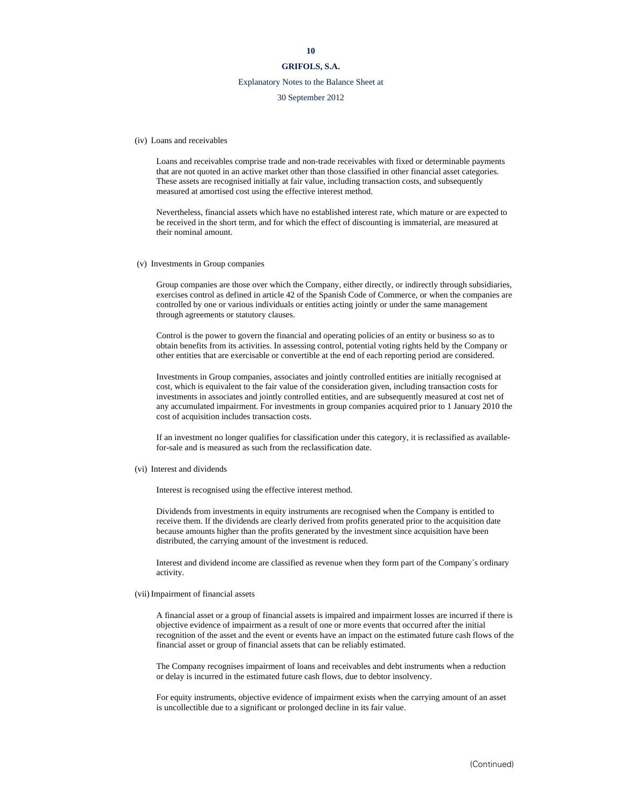## **GRIFOLS, S.A.**

## Explanatory Notes to the Balance Sheet at

#### 30 September 2012

(iv) Loans and receivables

Loans and receivables comprise trade and non-trade receivables with fixed or determinable payments that are not quoted in an active market other than those classified in other financial asset categories. These assets are recognised initially at fair value, including transaction costs, and subsequently measured at amortised cost using the effective interest method.

Nevertheless, financial assets which have no established interest rate, which mature or are expected to be received in the short term, and for which the effect of discounting is immaterial, are measured at their nominal amount.

(v) Investments in Group companies

Group companies are those over which the Company, either directly, or indirectly through subsidiaries, exercises control as defined in article 42 of the Spanish Code of Commerce, or when the companies are controlled by one or various individuals or entities acting jointly or under the same management through agreements or statutory clauses.

Control is the power to govern the financial and operating policies of an entity or business so as to obtain benefits from its activities. In assessing control, potential voting rights held by the Company or other entities that are exercisable or convertible at the end of each reporting period are considered.

Investments in Group companies, associates and jointly controlled entities are initially recognised at cost, which is equivalent to the fair value of the consideration given, including transaction costs for investments in associates and jointly controlled entities, and are subsequently measured at cost net of any accumulated impairment. For investments in group companies acquired prior to 1 January 2010 the cost of acquisition includes transaction costs.

If an investment no longer qualifies for classification under this category, it is reclassified as availablefor-sale and is measured as such from the reclassification date.

(vi) Interest and dividends

Interest is recognised using the effective interest method.

Dividends from investments in equity instruments are recognised when the Company is entitled to receive them. If the dividends are clearly derived from profits generated prior to the acquisition date because amounts higher than the profits generated by the investment since acquisition have been distributed, the carrying amount of the investment is reduced.

Interest and dividend income are classified as revenue when they form part of the Company's ordinary activity.

#### (vii) Impairment of financial assets

A financial asset or a group of financial assets is impaired and impairment losses are incurred if there is objective evidence of impairment as a result of one or more events that occurred after the initial recognition of the asset and the event or events have an impact on the estimated future cash flows of the financial asset or group of financial assets that can be reliably estimated.

The Company recognises impairment of loans and receivables and debt instruments when a reduction or delay is incurred in the estimated future cash flows, due to debtor insolvency.

For equity instruments, objective evidence of impairment exists when the carrying amount of an asset is uncollectible due to a significant or prolonged decline in its fair value.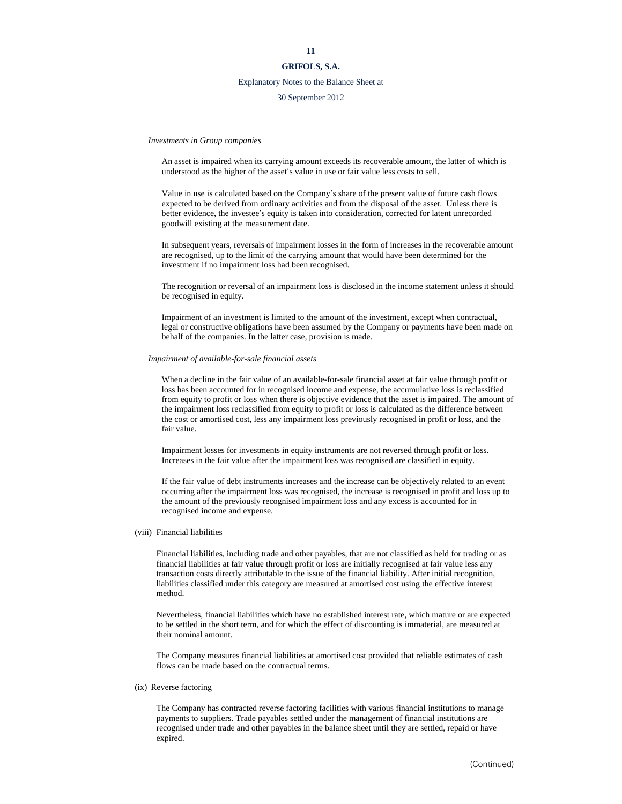## **GRIFOLS, S.A.**

## Explanatory Notes to the Balance Sheet at

#### 30 September 2012

*Investments in Group companies* 

An asset is impaired when its carrying amount exceeds its recoverable amount, the latter of which is understood as the higher of the asset's value in use or fair value less costs to sell.

Value in use is calculated based on the Company's share of the present value of future cash flows expected to be derived from ordinary activities and from the disposal of the asset. Unless there is better evidence, the investee's equity is taken into consideration, corrected for latent unrecorded goodwill existing at the measurement date.

In subsequent years, reversals of impairment losses in the form of increases in the recoverable amount are recognised, up to the limit of the carrying amount that would have been determined for the investment if no impairment loss had been recognised.

The recognition or reversal of an impairment loss is disclosed in the income statement unless it should be recognised in equity.

Impairment of an investment is limited to the amount of the investment, except when contractual, legal or constructive obligations have been assumed by the Company or payments have been made on behalf of the companies. In the latter case, provision is made.

#### *Impairment of available-for-sale financial assets*

When a decline in the fair value of an available-for-sale financial asset at fair value through profit or loss has been accounted for in recognised income and expense, the accumulative loss is reclassified from equity to profit or loss when there is objective evidence that the asset is impaired. The amount of the impairment loss reclassified from equity to profit or loss is calculated as the difference between the cost or amortised cost, less any impairment loss previously recognised in profit or loss, and the fair value.

Impairment losses for investments in equity instruments are not reversed through profit or loss. Increases in the fair value after the impairment loss was recognised are classified in equity.

If the fair value of debt instruments increases and the increase can be objectively related to an event occurring after the impairment loss was recognised, the increase is recognised in profit and loss up to the amount of the previously recognised impairment loss and any excess is accounted for in recognised income and expense.

(viii) Financial liabilities

Financial liabilities, including trade and other payables, that are not classified as held for trading or as financial liabilities at fair value through profit or loss are initially recognised at fair value less any transaction costs directly attributable to the issue of the financial liability. After initial recognition, liabilities classified under this category are measured at amortised cost using the effective interest method.

Nevertheless, financial liabilities which have no established interest rate, which mature or are expected to be settled in the short term, and for which the effect of discounting is immaterial, are measured at their nominal amount.

The Company measures financial liabilities at amortised cost provided that reliable estimates of cash flows can be made based on the contractual terms.

#### (ix) Reverse factoring

The Company has contracted reverse factoring facilities with various financial institutions to manage payments to suppliers. Trade payables settled under the management of financial institutions are recognised under trade and other payables in the balance sheet until they are settled, repaid or have expired.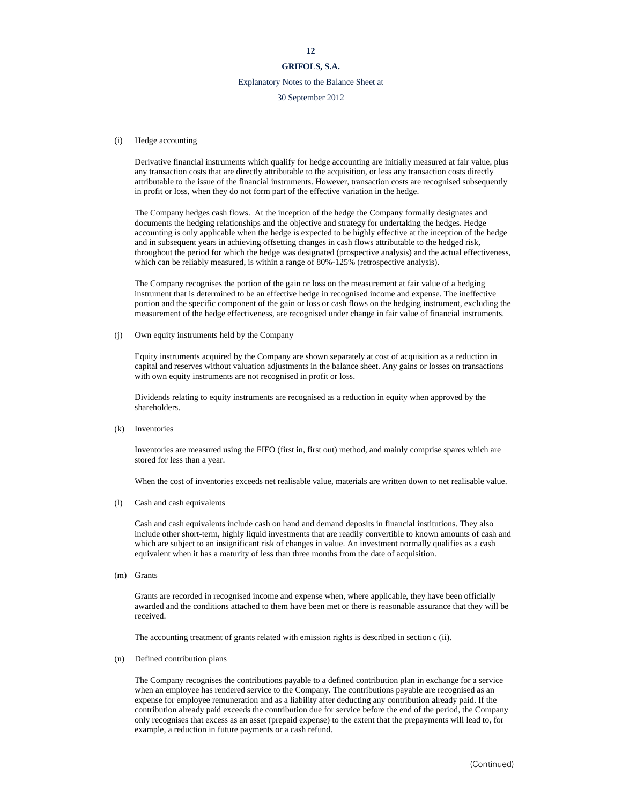## **GRIFOLS, S.A.**

## Explanatory Notes to the Balance Sheet at

#### 30 September 2012

#### (i) Hedge accounting

 Derivative financial instruments which qualify for hedge accounting are initially measured at fair value, plus any transaction costs that are directly attributable to the acquisition, or less any transaction costs directly attributable to the issue of the financial instruments. However, transaction costs are recognised subsequently in profit or loss, when they do not form part of the effective variation in the hedge.

 The Company hedges cash flows. At the inception of the hedge the Company formally designates and documents the hedging relationships and the objective and strategy for undertaking the hedges. Hedge accounting is only applicable when the hedge is expected to be highly effective at the inception of the hedge and in subsequent years in achieving offsetting changes in cash flows attributable to the hedged risk, throughout the period for which the hedge was designated (prospective analysis) and the actual effectiveness, which can be reliably measured, is within a range of 80%-125% (retrospective analysis).

 The Company recognises the portion of the gain or loss on the measurement at fair value of a hedging instrument that is determined to be an effective hedge in recognised income and expense. The ineffective portion and the specific component of the gain or loss or cash flows on the hedging instrument, excluding the measurement of the hedge effectiveness, are recognised under change in fair value of financial instruments.

(j) Own equity instruments held by the Company

 Equity instruments acquired by the Company are shown separately at cost of acquisition as a reduction in capital and reserves without valuation adjustments in the balance sheet. Any gains or losses on transactions with own equity instruments are not recognised in profit or loss.

Dividends relating to equity instruments are recognised as a reduction in equity when approved by the shareholders.

(k) Inventories

Inventories are measured using the FIFO (first in, first out) method, and mainly comprise spares which are stored for less than a year.

When the cost of inventories exceeds net realisable value, materials are written down to net realisable value.

(l) Cash and cash equivalents

Cash and cash equivalents include cash on hand and demand deposits in financial institutions. They also include other short-term, highly liquid investments that are readily convertible to known amounts of cash and which are subject to an insignificant risk of changes in value. An investment normally qualifies as a cash equivalent when it has a maturity of less than three months from the date of acquisition.

(m) Grants

Grants are recorded in recognised income and expense when, where applicable, they have been officially awarded and the conditions attached to them have been met or there is reasonable assurance that they will be received.

The accounting treatment of grants related with emission rights is described in section c (ii).

(n) Defined contribution plans

The Company recognises the contributions payable to a defined contribution plan in exchange for a service when an employee has rendered service to the Company. The contributions payable are recognised as an expense for employee remuneration and as a liability after deducting any contribution already paid. If the contribution already paid exceeds the contribution due for service before the end of the period, the Company only recognises that excess as an asset (prepaid expense) to the extent that the prepayments will lead to, for example, a reduction in future payments or a cash refund.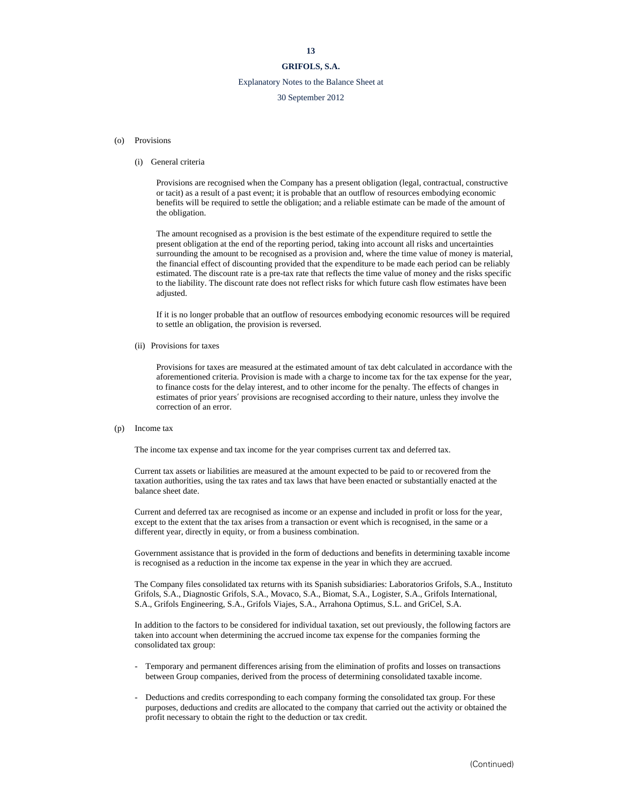## **GRIFOLS, S.A.**

## Explanatory Notes to the Balance Sheet at

#### 30 September 2012

#### (o) Provisions

#### (i) General criteria

Provisions are recognised when the Company has a present obligation (legal, contractual, constructive or tacit) as a result of a past event; it is probable that an outflow of resources embodying economic benefits will be required to settle the obligation; and a reliable estimate can be made of the amount of the obligation.

The amount recognised as a provision is the best estimate of the expenditure required to settle the present obligation at the end of the reporting period, taking into account all risks and uncertainties surrounding the amount to be recognised as a provision and, where the time value of money is material, the financial effect of discounting provided that the expenditure to be made each period can be reliably estimated. The discount rate is a pre-tax rate that reflects the time value of money and the risks specific to the liability. The discount rate does not reflect risks for which future cash flow estimates have been adjusted.

If it is no longer probable that an outflow of resources embodying economic resources will be required to settle an obligation, the provision is reversed.

(ii) Provisions for taxes

Provisions for taxes are measured at the estimated amount of tax debt calculated in accordance with the aforementioned criteria. Provision is made with a charge to income tax for the tax expense for the year, to finance costs for the delay interest, and to other income for the penalty. The effects of changes in estimates of prior years' provisions are recognised according to their nature, unless they involve the correction of an error.

#### (p) Income tax

The income tax expense and tax income for the year comprises current tax and deferred tax.

Current tax assets or liabilities are measured at the amount expected to be paid to or recovered from the taxation authorities, using the tax rates and tax laws that have been enacted or substantially enacted at the balance sheet date.

Current and deferred tax are recognised as income or an expense and included in profit or loss for the year, except to the extent that the tax arises from a transaction or event which is recognised, in the same or a different year, directly in equity, or from a business combination.

Government assistance that is provided in the form of deductions and benefits in determining taxable income is recognised as a reduction in the income tax expense in the year in which they are accrued.

The Company files consolidated tax returns with its Spanish subsidiaries: Laboratorios Grifols, S.A., Instituto Grifols, S.A., Diagnostic Grifols, S.A., Movaco, S.A., Biomat, S.A., Logister, S.A., Grifols International, S.A., Grifols Engineering, S.A., Grifols Viajes, S.A., Arrahona Optimus, S.L. and GriCel, S.A.

In addition to the factors to be considered for individual taxation, set out previously, the following factors are taken into account when determining the accrued income tax expense for the companies forming the consolidated tax group:

- Temporary and permanent differences arising from the elimination of profits and losses on transactions between Group companies, derived from the process of determining consolidated taxable income.
- Deductions and credits corresponding to each company forming the consolidated tax group. For these purposes, deductions and credits are allocated to the company that carried out the activity or obtained the profit necessary to obtain the right to the deduction or tax credit.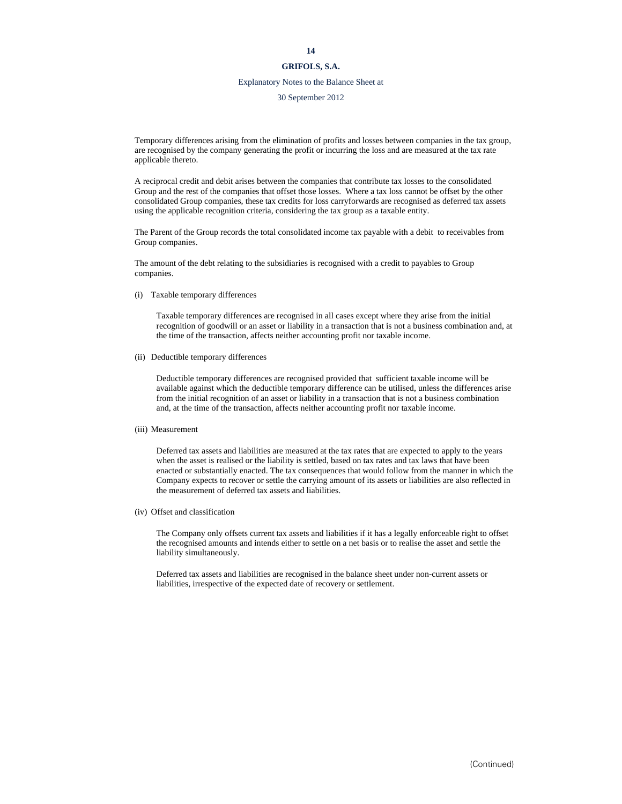## Explanatory Notes to the Balance Sheet at

30 September 2012

Temporary differences arising from the elimination of profits and losses between companies in the tax group, are recognised by the company generating the profit or incurring the loss and are measured at the tax rate applicable thereto.

A reciprocal credit and debit arises between the companies that contribute tax losses to the consolidated Group and the rest of the companies that offset those losses. Where a tax loss cannot be offset by the other consolidated Group companies, these tax credits for loss carryforwards are recognised as deferred tax assets using the applicable recognition criteria, considering the tax group as a taxable entity.

The Parent of the Group records the total consolidated income tax payable with a debit to receivables from Group companies.

The amount of the debt relating to the subsidiaries is recognised with a credit to payables to Group companies.

(i) Taxable temporary differences

Taxable temporary differences are recognised in all cases except where they arise from the initial recognition of goodwill or an asset or liability in a transaction that is not a business combination and, at the time of the transaction, affects neither accounting profit nor taxable income.

(ii) Deductible temporary differences

Deductible temporary differences are recognised provided that sufficient taxable income will be available against which the deductible temporary difference can be utilised, unless the differences arise from the initial recognition of an asset or liability in a transaction that is not a business combination and, at the time of the transaction, affects neither accounting profit nor taxable income.

(iii) Measurement

Deferred tax assets and liabilities are measured at the tax rates that are expected to apply to the years when the asset is realised or the liability is settled, based on tax rates and tax laws that have been enacted or substantially enacted. The tax consequences that would follow from the manner in which the Company expects to recover or settle the carrying amount of its assets or liabilities are also reflected in the measurement of deferred tax assets and liabilities.

(iv) Offset and classification

The Company only offsets current tax assets and liabilities if it has a legally enforceable right to offset the recognised amounts and intends either to settle on a net basis or to realise the asset and settle the liability simultaneously.

Deferred tax assets and liabilities are recognised in the balance sheet under non-current assets or liabilities, irrespective of the expected date of recovery or settlement.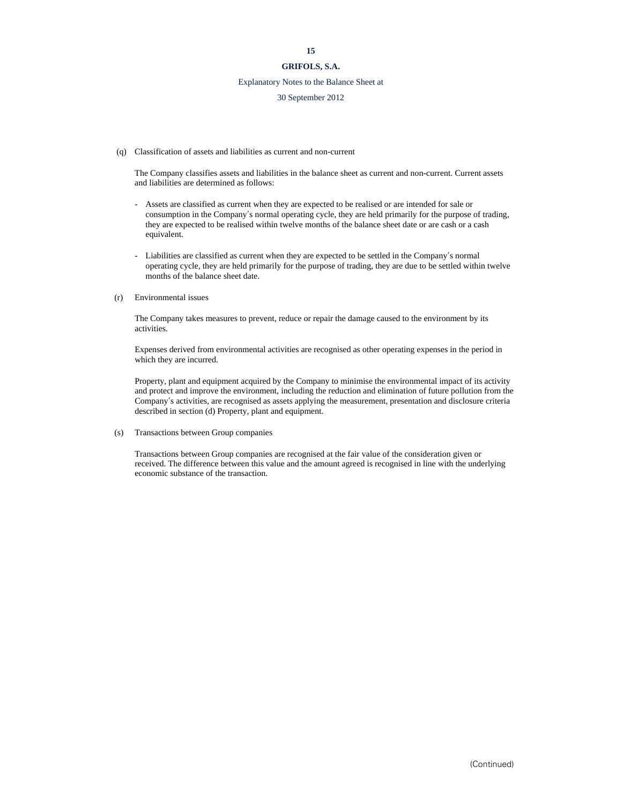## **GRIFOLS, S.A.**

#### Explanatory Notes to the Balance Sheet at

#### 30 September 2012

(q) Classification of assets and liabilities as current and non-current

The Company classifies assets and liabilities in the balance sheet as current and non-current. Current assets and liabilities are determined as follows:

- Assets are classified as current when they are expected to be realised or are intended for sale or consumption in the Company's normal operating cycle, they are held primarily for the purpose of trading, they are expected to be realised within twelve months of the balance sheet date or are cash or a cash equivalent.
- Liabilities are classified as current when they are expected to be settled in the Company's normal operating cycle, they are held primarily for the purpose of trading, they are due to be settled within twelve months of the balance sheet date.

#### (r) Environmental issues

The Company takes measures to prevent, reduce or repair the damage caused to the environment by its activities.

Expenses derived from environmental activities are recognised as other operating expenses in the period in which they are incurred.

Property, plant and equipment acquired by the Company to minimise the environmental impact of its activity and protect and improve the environment, including the reduction and elimination of future pollution from the Company's activities, are recognised as assets applying the measurement, presentation and disclosure criteria described in section (d) Property, plant and equipment.

(s) Transactions between Group companies

Transactions between Group companies are recognised at the fair value of the consideration given or received. The difference between this value and the amount agreed is recognised in line with the underlying economic substance of the transaction.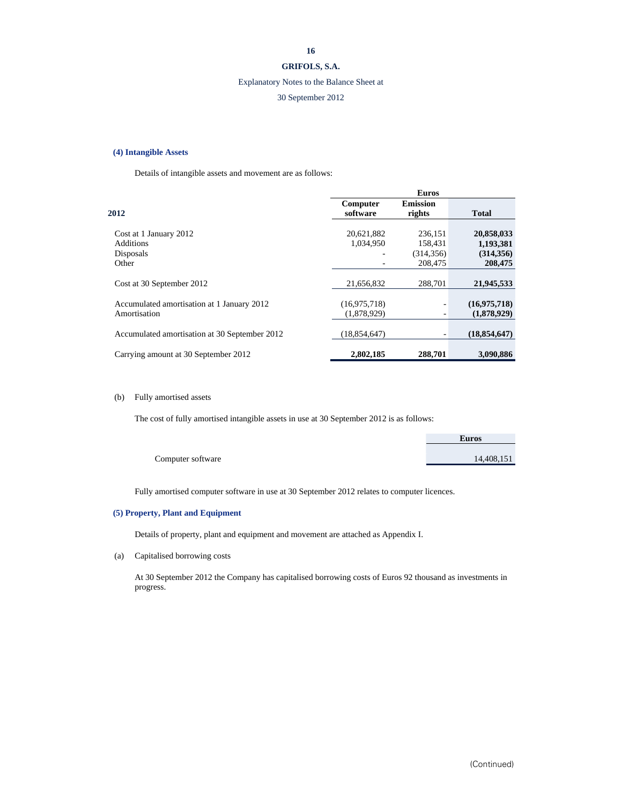## **GRIFOLS, S.A.**

## Explanatory Notes to the Balance Sheet at

## 30 September 2012

#### **(4) Intangible Assets**

Details of intangible assets and movement are as follows:

|                                               |                | <b>Euros</b>    |                |
|-----------------------------------------------|----------------|-----------------|----------------|
|                                               | Computer       | <b>Emission</b> |                |
| 2012                                          | software       | rights          | <b>Total</b>   |
|                                               |                |                 |                |
| Cost at 1 January 2012                        | 20,621,882     | 236,151         | 20,858,033     |
| <b>Additions</b>                              | 1,034,950      | 158,431         | 1,193,381      |
| Disposals                                     | ٠              | (314, 356)      | (314, 356)     |
| Other                                         |                | 208,475         | 208,475        |
|                                               |                |                 |                |
| Cost at 30 September 2012                     | 21.656.832     | 288,701         | 21,945,533     |
|                                               |                |                 |                |
| Accumulated amortisation at 1 January 2012    | (16,975,718)   |                 | (16,975,718)   |
| Amortisation                                  | (1,878,929)    |                 | (1,878,929)    |
|                                               |                |                 |                |
| Accumulated amortisation at 30 September 2012 | (18, 854, 647) |                 | (18, 854, 647) |
|                                               |                |                 |                |
| Carrying amount at 30 September 2012          | 2,802,185      | 288,701         | 3,090,886      |

## (b) Fully amortised assets

The cost of fully amortised intangible assets in use at 30 September 2012 is as follows:

|                   | <b>Euros</b> |
|-------------------|--------------|
|                   |              |
| Computer software | 14,408,151   |

Fully amortised computer software in use at 30 September 2012 relates to computer licences.

## **(5) Property, Plant and Equipment**

Details of property, plant and equipment and movement are attached as Appendix I.

(a) Capitalised borrowing costs

At 30 September 2012 the Company has capitalised borrowing costs of Euros 92 thousand as investments in progress.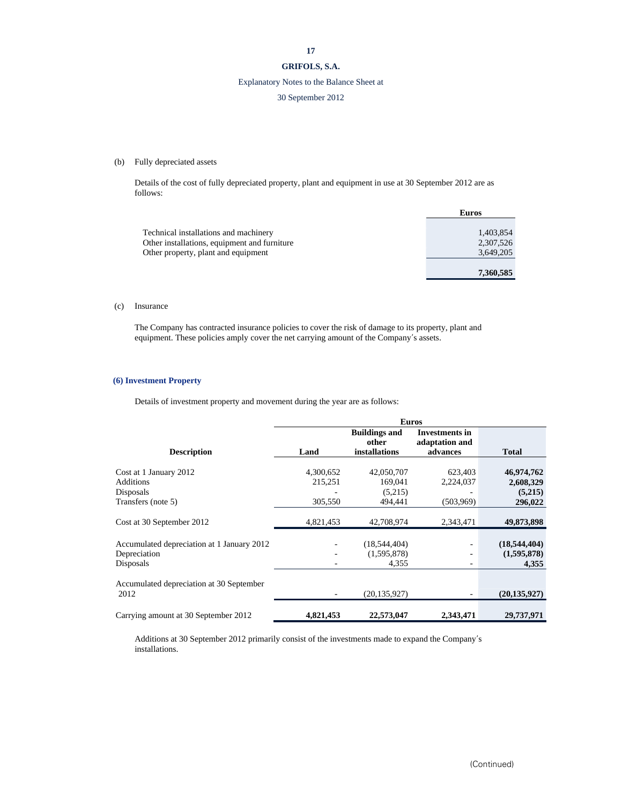## **GRIFOLS, S.A.**

## Explanatory Notes to the Balance Sheet at

## 30 September 2012

## (b) Fully depreciated assets

Details of the cost of fully depreciated property, plant and equipment in use at 30 September 2012 are as follows:

|                                              | <b>Euros</b> |
|----------------------------------------------|--------------|
|                                              |              |
| Technical installations and machinery        | 1,403,854    |
| Other installations, equipment and furniture | 2,307,526    |
| Other property, plant and equipment          | 3,649,205    |
|                                              | 7,360,585    |

## (c) Insurance

The Company has contracted insurance policies to cover the risk of damage to its property, plant and equipment. These policies amply cover the net carrying amount of the Company's assets.

#### **(6) Investment Property**

Details of investment property and movement during the year are as follows:

|                                                  | <b>Euros</b>                 |                                                       |                                              |                      |
|--------------------------------------------------|------------------------------|-------------------------------------------------------|----------------------------------------------|----------------------|
| <b>Description</b>                               | Land                         | <b>Buildings and</b><br>other<br><i>installations</i> | Investments in<br>adaptation and<br>advances | <b>Total</b>         |
|                                                  |                              |                                                       |                                              |                      |
| Cost at 1 January 2012                           | 4,300,652                    | 42,050,707                                            | 623,403                                      | 46,974,762           |
| <b>Additions</b><br>Disposals                    | 215,251                      | 169.041<br>(5,215)                                    | 2,224,037                                    | 2,608,329<br>(5,215) |
| Transfers (note 5)                               | 305,550                      | 494.441                                               | (503,969)                                    | 296,022              |
| Cost at 30 September 2012                        | 4,821,453                    | 42,708,974                                            | 2,343,471                                    | 49,873,898           |
| Accumulated depreciation at 1 January 2012       |                              | (18,544,404)                                          |                                              | (18, 544, 404)       |
| Depreciation                                     |                              | (1,595,878)                                           |                                              | (1,595,878)          |
| Disposals                                        | $\qquad \qquad \blacksquare$ | 4,355                                                 | ٠                                            | 4.355                |
| Accumulated depreciation at 30 September<br>2012 |                              | (20, 135, 927)                                        |                                              | (20, 135, 927)       |
| Carrying amount at 30 September 2012             | 4,821,453                    | 22,573,047                                            | 2,343,471                                    | 29,737,971           |

Additions at 30 September 2012 primarily consist of the investments made to expand the Company's installations.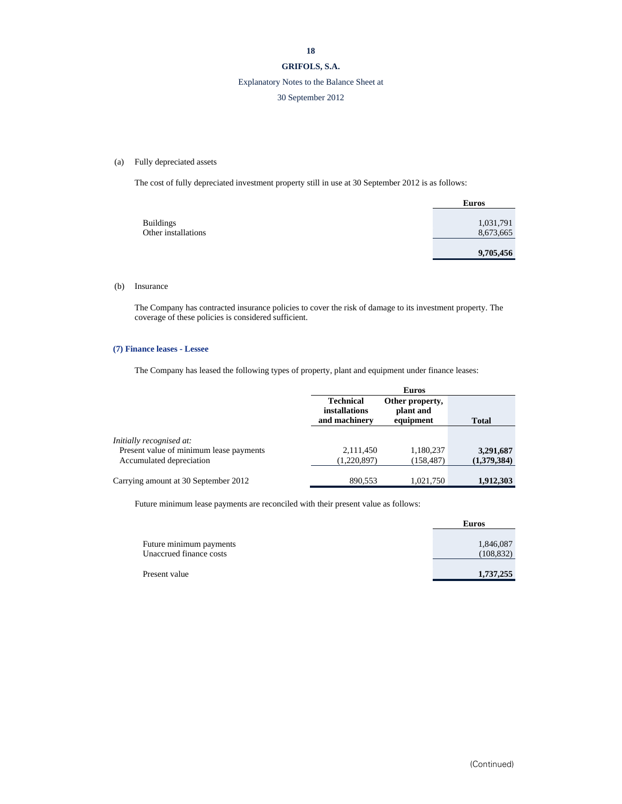## **GRIFOLS, S.A.**

## Explanatory Notes to the Balance Sheet at

## 30 September 2012

## (a) Fully depreciated assets

The cost of fully depreciated investment property still in use at 30 September 2012 is as follows:

|                     | <b>Euros</b> |
|---------------------|--------------|
|                     |              |
| <b>Buildings</b>    | 1,031,791    |
| Other installations | 8,673,665    |
|                     | 9,705,456    |

#### (b) Insurance

The Company has contracted insurance policies to cover the risk of damage to its investment property. The coverage of these policies is considered sufficient.

#### **(7) Finance leases - Lessee**

The Company has leased the following types of property, plant and equipment under finance leases:

|                                         |                                                    | <b>Euros</b>                              |              |  |
|-----------------------------------------|----------------------------------------------------|-------------------------------------------|--------------|--|
|                                         | <b>Technical</b><br>installations<br>and machinery | Other property,<br>plant and<br>equipment | <b>Total</b> |  |
| Initially recognised at:                |                                                    |                                           |              |  |
| Present value of minimum lease payments | 2,111,450                                          | 1,180,237                                 | 3,291,687    |  |
| Accumulated depreciation                | (1,220,897)                                        | (158, 487)                                | (1,379,384)  |  |
| Carrying amount at 30 September 2012    | 890.553                                            | 1,021,750                                 | 1,912,303    |  |

Future minimum lease payments are reconciled with their present value as follows:

|                         | <b>Euros</b> |
|-------------------------|--------------|
|                         |              |
| Future minimum payments | 1,846,087    |
| Unaccrued finance costs | (108, 832)   |
|                         |              |
| Present value           | 1,737,255    |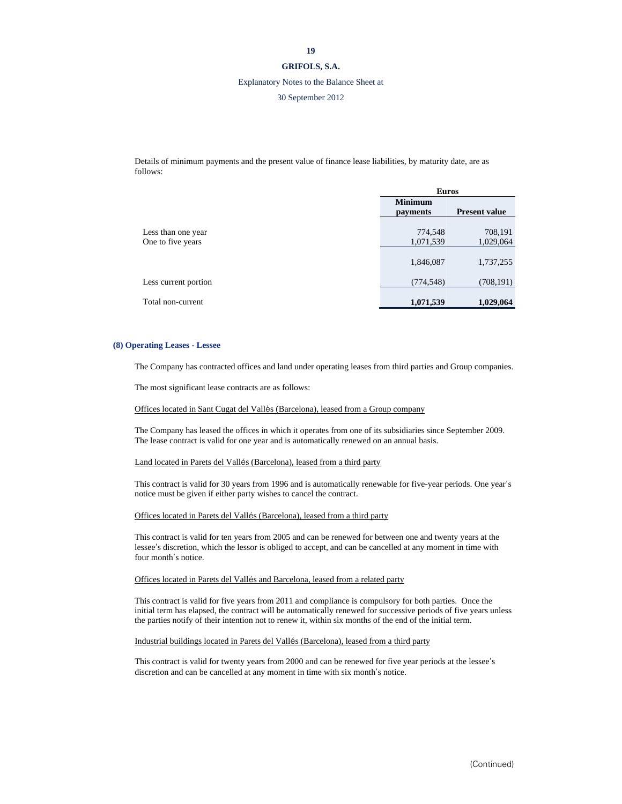## **GRIFOLS, S.A.**

#### Explanatory Notes to the Balance Sheet at

#### 30 September 2012

Details of minimum payments and the present value of finance lease liabilities, by maturity date, are as follows:

|                                         | <b>Euros</b>               |                      |
|-----------------------------------------|----------------------------|----------------------|
|                                         | <b>Minimum</b><br>payments | <b>Present value</b> |
| Less than one year<br>One to five years | 774,548<br>1,071,539       | 708,191<br>1,029,064 |
|                                         | 1,846,087                  | 1,737,255            |
| Less current portion                    | (774, 548)                 | (708, 191)           |
| Total non-current                       | 1,071,539                  | 1,029,064            |

#### **(8) Operating Leases - Lessee**

The Company has contracted offices and land under operating leases from third parties and Group companies.

The most significant lease contracts are as follows:

Offices located in Sant Cugat del Vallès (Barcelona), leased from a Group company

The Company has leased the offices in which it operates from one of its subsidiaries since September 2009. The lease contract is valid for one year and is automatically renewed on an annual basis.

#### Land located in Parets del Vallés (Barcelona), leased from a third party

This contract is valid for 30 years from 1996 and is automatically renewable for five-year periods. One year's notice must be given if either party wishes to cancel the contract.

#### Offices located in Parets del Vallés (Barcelona), leased from a third party

This contract is valid for ten years from 2005 and can be renewed for between one and twenty years at the lessee's discretion, which the lessor is obliged to accept, and can be cancelled at any moment in time with four month's notice.

#### Offices located in Parets del Vallés and Barcelona, leased from a related party

This contract is valid for five years from 2011 and compliance is compulsory for both parties. Once the initial term has elapsed, the contract will be automatically renewed for successive periods of five years unless the parties notify of their intention not to renew it, within six months of the end of the initial term.

#### Industrial buildings located in Parets del Vallés (Barcelona), leased from a third party

This contract is valid for twenty years from 2000 and can be renewed for five year periods at the lessee's discretion and can be cancelled at any moment in time with six month's notice.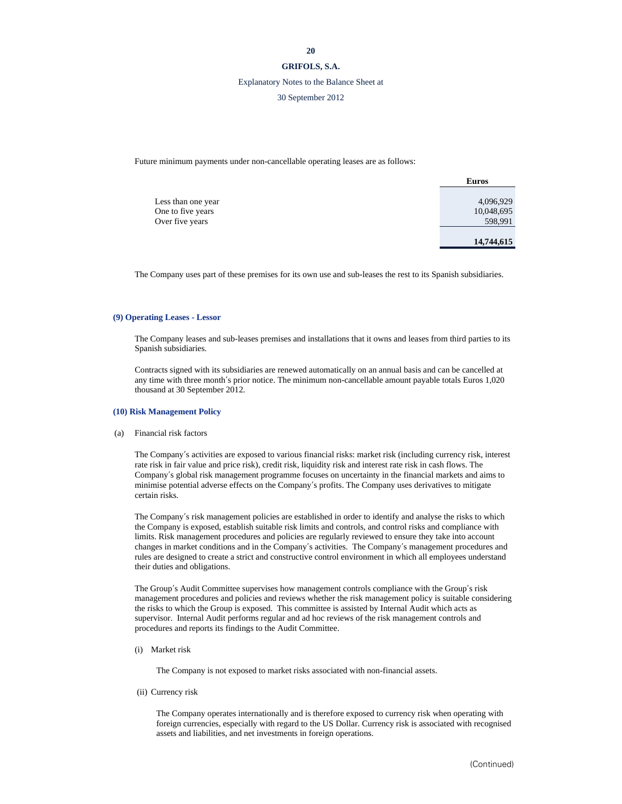#### **GRIFOLS, S.A.**

## Explanatory Notes to the Balance Sheet at

30 September 2012

Future minimum payments under non-cancellable operating leases are as follows:

|                                      | <b>Euros</b>          |
|--------------------------------------|-----------------------|
| Less than one year                   | 4,096,929             |
| One to five years<br>Over five years | 10,048,695<br>598,991 |
|                                      | 14,744,615            |

The Company uses part of these premises for its own use and sub-leases the rest to its Spanish subsidiaries.

#### **(9) Operating Leases - Lessor**

The Company leases and sub-leases premises and installations that it owns and leases from third parties to its Spanish subsidiaries.

Contracts signed with its subsidiaries are renewed automatically on an annual basis and can be cancelled at any time with three month's prior notice. The minimum non-cancellable amount payable totals Euros 1,020 thousand at 30 September 2012.

## **(10) Risk Management Policy**

(a) Financial risk factors

The Company's activities are exposed to various financial risks: market risk (including currency risk, interest rate risk in fair value and price risk), credit risk, liquidity risk and interest rate risk in cash flows. The Company's global risk management programme focuses on uncertainty in the financial markets and aims to minimise potential adverse effects on the Company's profits. The Company uses derivatives to mitigate certain risks.

The Company's risk management policies are established in order to identify and analyse the risks to which the Company is exposed, establish suitable risk limits and controls, and control risks and compliance with limits. Risk management procedures and policies are regularly reviewed to ensure they take into account changes in market conditions and in the Company's activities. The Company's management procedures and rules are designed to create a strict and constructive control environment in which all employees understand their duties and obligations.

The Group's Audit Committee supervises how management controls compliance with the Group's risk management procedures and policies and reviews whether the risk management policy is suitable considering the risks to which the Group is exposed. This committee is assisted by Internal Audit which acts as supervisor. Internal Audit performs regular and ad hoc reviews of the risk management controls and procedures and reports its findings to the Audit Committee.

(i) Market risk

The Company is not exposed to market risks associated with non-financial assets.

(ii) Currency risk

The Company operates internationally and is therefore exposed to currency risk when operating with foreign currencies, especially with regard to the US Dollar. Currency risk is associated with recognised assets and liabilities, and net investments in foreign operations.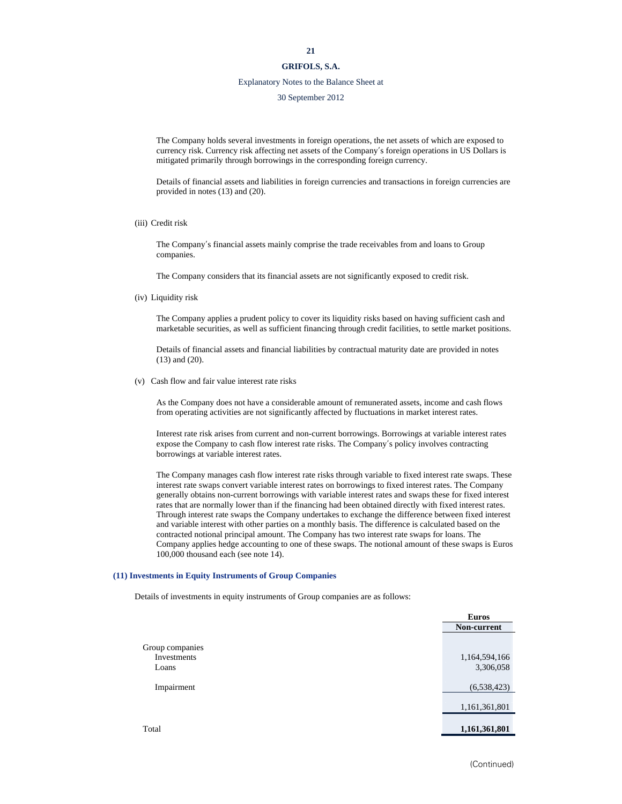## **GRIFOLS, S.A.**

## Explanatory Notes to the Balance Sheet at

30 September 2012

The Company holds several investments in foreign operations, the net assets of which are exposed to currency risk. Currency risk affecting net assets of the Company's foreign operations in US Dollars is mitigated primarily through borrowings in the corresponding foreign currency.

Details of financial assets and liabilities in foreign currencies and transactions in foreign currencies are provided in notes (13) and (20).

(iii) Credit risk

The Company's financial assets mainly comprise the trade receivables from and loans to Group companies.

The Company considers that its financial assets are not significantly exposed to credit risk.

(iv) Liquidity risk

The Company applies a prudent policy to cover its liquidity risks based on having sufficient cash and marketable securities, as well as sufficient financing through credit facilities, to settle market positions.

Details of financial assets and financial liabilities by contractual maturity date are provided in notes (13) and (20).

(v) Cash flow and fair value interest rate risks

As the Company does not have a considerable amount of remunerated assets, income and cash flows from operating activities are not significantly affected by fluctuations in market interest rates.

Interest rate risk arises from current and non-current borrowings. Borrowings at variable interest rates expose the Company to cash flow interest rate risks. The Company's policy involves contracting borrowings at variable interest rates.

The Company manages cash flow interest rate risks through variable to fixed interest rate swaps. These interest rate swaps convert variable interest rates on borrowings to fixed interest rates. The Company generally obtains non-current borrowings with variable interest rates and swaps these for fixed interest rates that are normally lower than if the financing had been obtained directly with fixed interest rates. Through interest rate swaps the Company undertakes to exchange the difference between fixed interest and variable interest with other parties on a monthly basis. The difference is calculated based on the contracted notional principal amount. The Company has two interest rate swaps for loans. The Company applies hedge accounting to one of these swaps. The notional amount of these swaps is Euros 100,000 thousand each (see note 14).

#### **(11) Investments in Equity Instruments of Group Companies**

Details of investments in equity instruments of Group companies are as follows:

|                 | <b>Euros</b>  |
|-----------------|---------------|
|                 | Non-current   |
|                 |               |
| Group companies |               |
| Investments     | 1,164,594,166 |
| Loans           | 3,306,058     |
| Impairment      | (6,538,423)   |
|                 |               |
|                 | 1,161,361,801 |
|                 |               |
| Total           | 1,161,361,801 |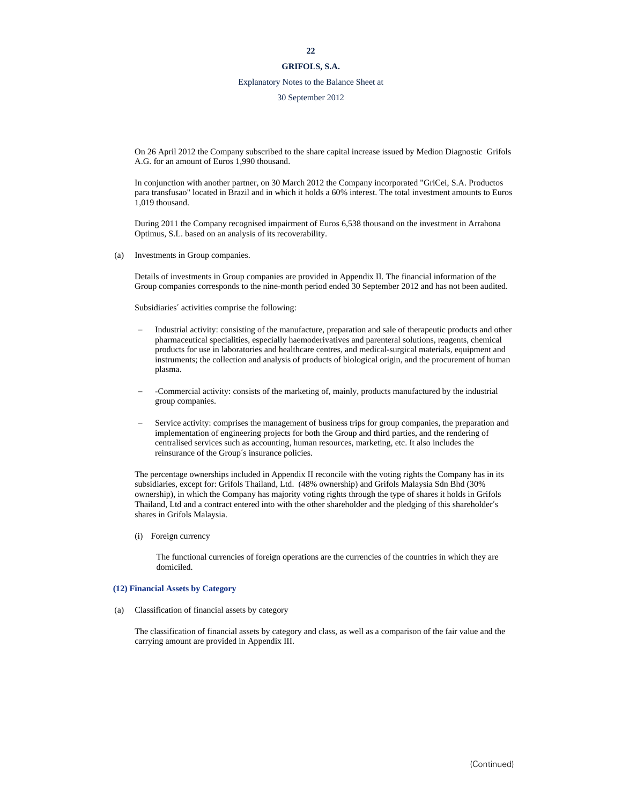## **GRIFOLS, S.A.**

## Explanatory Notes to the Balance Sheet at

30 September 2012

On 26 April 2012 the Company subscribed to the share capital increase issued by Medion Diagnostic Grifols A.G. for an amount of Euros 1,990 thousand.

In conjunction with another partner, on 30 March 2012 the Company incorporated "GriCei, S.A. Productos para transfusao" located in Brazil and in which it holds a 60% interest. The total investment amounts to Euros 1,019 thousand.

During 2011 the Company recognised impairment of Euros 6,538 thousand on the investment in Arrahona Optimus, S.L. based on an analysis of its recoverability.

(a) Investments in Group companies.

Details of investments in Group companies are provided in Appendix II. The financial information of the Group companies corresponds to the nine-month period ended 30 September 2012 and has not been audited.

Subsidiaries' activities comprise the following:

- Industrial activity: consisting of the manufacture, preparation and sale of therapeutic products and other pharmaceutical specialities, especially haemoderivatives and parenteral solutions, reagents, chemical products for use in laboratories and healthcare centres, and medical-surgical materials, equipment and instruments; the collection and analysis of products of biological origin, and the procurement of human plasma.
- -Commercial activity: consists of the marketing of, mainly, products manufactured by the industrial group companies.
- Service activity: comprises the management of business trips for group companies, the preparation and implementation of engineering projects for both the Group and third parties, and the rendering of centralised services such as accounting, human resources, marketing, etc. It also includes the reinsurance of the Group's insurance policies.

The percentage ownerships included in Appendix II reconcile with the voting rights the Company has in its subsidiaries, except for: Grifols Thailand, Ltd. (48% ownership) and Grifols Malaysia Sdn Bhd (30% ownership), in which the Company has majority voting rights through the type of shares it holds in Grifols Thailand, Ltd and a contract entered into with the other shareholder and the pledging of this shareholder's shares in Grifols Malaysia.

(i) Foreign currency

The functional currencies of foreign operations are the currencies of the countries in which they are domiciled.

#### **(12) Financial Assets by Category**

(a) Classification of financial assets by category

The classification of financial assets by category and class, as well as a comparison of the fair value and the carrying amount are provided in Appendix III.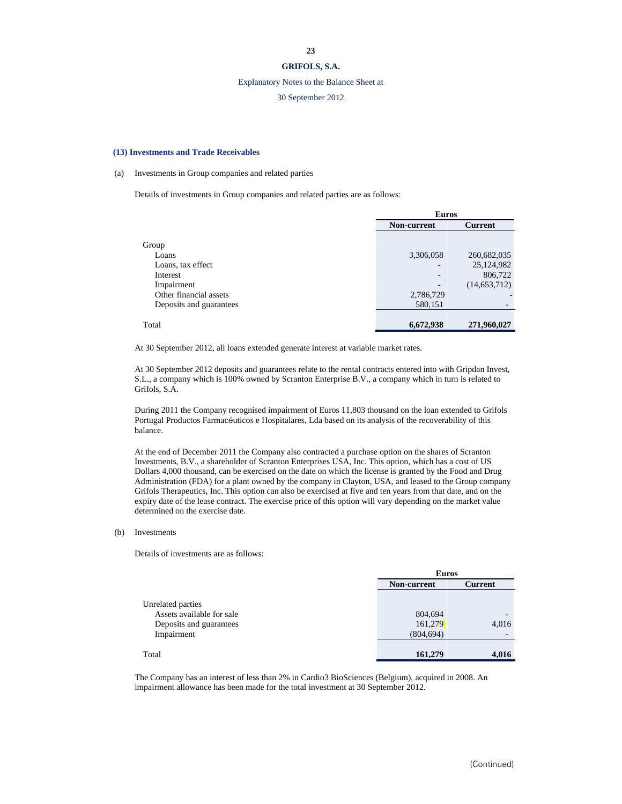## **GRIFOLS, S.A.**

#### Explanatory Notes to the Balance Sheet at

## 30 September 2012

#### **(13) Investments and Trade Receivables**

#### (a) Investments in Group companies and related parties

Details of investments in Group companies and related parties are as follows:

|                         | <b>Euros</b>             |                |  |
|-------------------------|--------------------------|----------------|--|
|                         | <b>Non-current</b>       | <b>Current</b> |  |
|                         |                          |                |  |
| Group                   |                          |                |  |
| Loans                   | 3,306,058                | 260,682,035    |  |
| Loans, tax effect       |                          | 25,124,982     |  |
| Interest                | $\overline{\phantom{a}}$ | 806,722        |  |
| Impairment              |                          | (14, 653, 712) |  |
| Other financial assets  | 2,786,729                |                |  |
| Deposits and guarantees | 580,151                  |                |  |
|                         |                          |                |  |
| Total                   | 6,672,938                | 271,960,027    |  |

At 30 September 2012, all loans extended generate interest at variable market rates.

At 30 September 2012 deposits and guarantees relate to the rental contracts entered into with Gripdan Invest, S.L., a company which is 100% owned by Scranton Enterprise B.V., a company which in turn is related to Grifols, S.A.

During 2011 the Company recognised impairment of Euros 11,803 thousand on the loan extended to Grifols Portugal Productos Farmacéuticos e Hospitalares, Lda based on its analysis of the recoverability of this balance.

At the end of December 2011 the Company also contracted a purchase option on the shares of Scranton Investments, B.V., a shareholder of Scranton Enterprises USA, Inc. This option, which has a cost of US Dollars 4,000 thousand, can be exercised on the date on which the license is granted by the Food and Drug Administration (FDA) for a plant owned by the company in Clayton, USA, and leased to the Group company Grifols Therapeutics, Inc. This option can also be exercised at five and ten years from that date, and on the expiry date of the lease contract. The exercise price of this option will vary depending on the market value determined on the exercise date.

(b) Investments

Details of investments are as follows:

|                           | <b>Euros</b>                  |                          |  |
|---------------------------|-------------------------------|--------------------------|--|
|                           | <b>Current</b><br>Non-current |                          |  |
|                           |                               |                          |  |
| Unrelated parties         |                               |                          |  |
| Assets available for sale | 804,694                       | $\overline{\phantom{0}}$ |  |
| Deposits and guarantees   | 161,279                       | 4,016                    |  |
| Impairment                | (804, 694)                    |                          |  |
|                           |                               |                          |  |
| Total                     | 161,279                       | 4,016                    |  |

The Company has an interest of less than 2% in Cardio3 BioSciences (Belgium), acquired in 2008. An impairment allowance has been made for the total investment at 30 September 2012.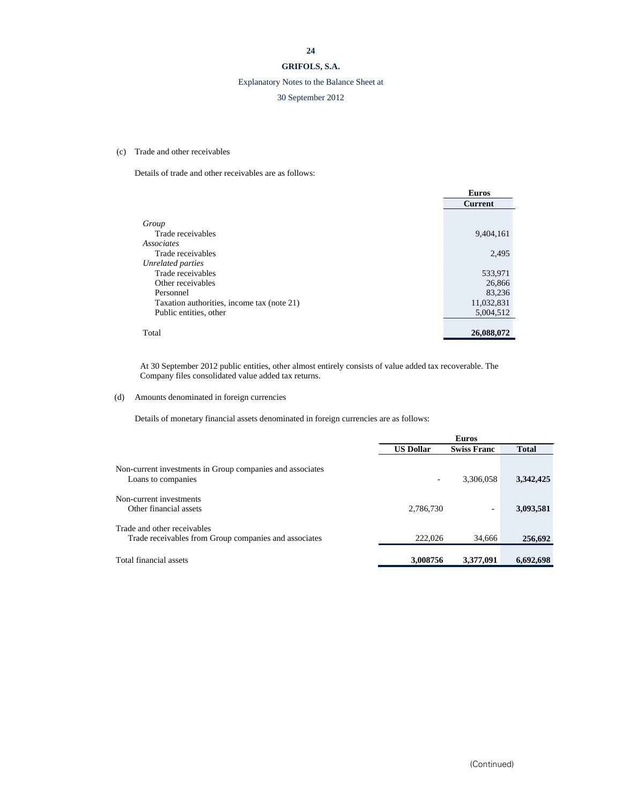## **GRIFOLS, S.A.**

## Explanatory Notes to the Balance Sheet at

## 30 September 2012

## (c) Trade and other receivables

Details of trade and other receivables are as follows:

|                                            | <b>Euros</b>   |
|--------------------------------------------|----------------|
|                                            | <b>Current</b> |
|                                            |                |
| Group                                      |                |
| Trade receivables                          | 9,404,161      |
| Associates                                 |                |
| Trade receivables                          | 2,495          |
| <b>Unrelated parties</b>                   |                |
| Trade receivables                          | 533,971        |
| Other receivables                          | 26,866         |
| Personnel                                  | 83.236         |
| Taxation authorities, income tax (note 21) | 11,032,831     |
| Public entities, other                     | 5.004.512      |
|                                            |                |
| Total                                      | 26,088,072     |

At 30 September 2012 public entities, other almost entirely consists of value added tax recoverable. The Company files consolidated value added tax returns.

## (d) Amounts denominated in foreign currencies

Details of monetary financial assets denominated in foreign currencies are as follows:

|                                                                                      | <b>Euros</b>     |                    |              |
|--------------------------------------------------------------------------------------|------------------|--------------------|--------------|
|                                                                                      | <b>US Dollar</b> | <b>Swiss Franc</b> | <b>Total</b> |
| Non-current investments in Group companies and associates<br>Loans to companies      |                  | 3,306,058          | 3,342,425    |
| Non-current investments<br>Other financial assets                                    | 2,786,730        | ٠                  | 3,093,581    |
| Trade and other receivables<br>Trade receivables from Group companies and associates | 222,026          | 34.666             | 256,692      |
| Total financial assets                                                               | 3,008756         | 3,377,091          | 6,692,698    |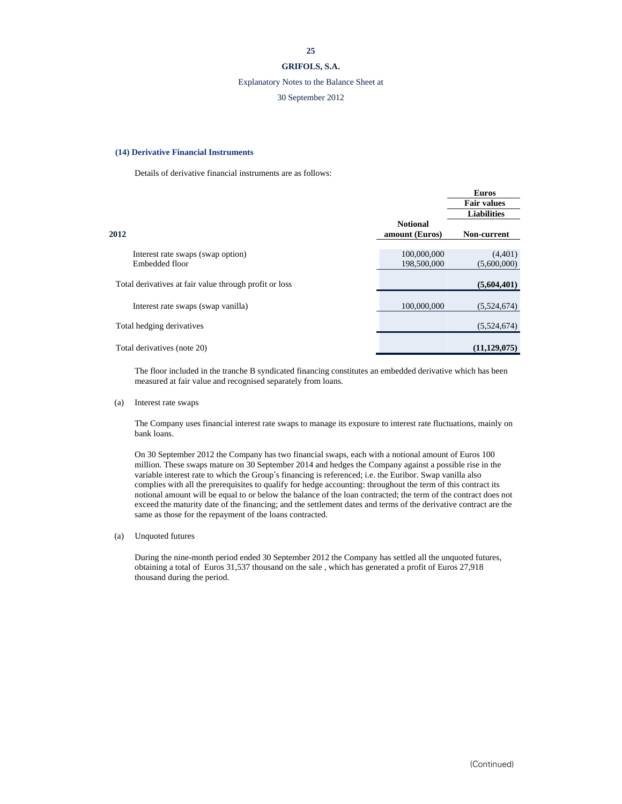## **GRIFOLS, S.A.**

#### Explanatory Notes to the Balance Sheet at

## 30 September 2012

#### **(14) Derivative Financial Instruments**

Details of derivative financial instruments are as follows:

|                                                        |                 | <b>Euros</b>       |
|--------------------------------------------------------|-----------------|--------------------|
|                                                        |                 | <b>Fair values</b> |
|                                                        |                 | <b>Liabilities</b> |
|                                                        | <b>Notional</b> |                    |
| 2012                                                   | amount (Euros)  | Non-current        |
|                                                        |                 |                    |
| Interest rate swaps (swap option)                      | 100,000,000     | (4,401)            |
| Embedded floor                                         | 198,500,000     | (5,600,000)        |
|                                                        |                 |                    |
| Total derivatives at fair value through profit or loss |                 | (5,604,401)        |
|                                                        |                 |                    |
| Interest rate swaps (swap vanilla)                     | 100,000,000     | (5,524,674)        |
|                                                        |                 |                    |
| Total hedging derivatives                              |                 | (5,524,674)        |
|                                                        |                 |                    |
| Total derivatives (note 20)                            |                 | (11, 129, 075)     |

The floor included in the tranche B syndicated financing constitutes an embedded derivative which has been measured at fair value and recognised separately from loans.

(a) Interest rate swaps

The Company uses financial interest rate swaps to manage its exposure to interest rate fluctuations, mainly on bank loans.

On 30 September 2012 the Company has two financial swaps, each with a notional amount of Euros 100 million. These swaps mature on 30 September 2014 and hedges the Company against a possible rise in the variable interest rate to which the Group's financing is referenced; i.e. the Euribor. Swap vanilla also complies with all the prerequisites to qualify for hedge accounting: throughout the term of this contract its notional amount will be equal to or below the balance of the loan contracted; the term of the contract does not exceed the maturity date of the financing; and the settlement dates and terms of the derivative contract are the same as those for the repayment of the loans contracted.

(a) Unquoted futures

During the nine-month period ended 30 September 2012 the Company has settled all the unquoted futures, obtaining a total of Euros 31,537 thousand on the sale , which has generated a profit of Euros 27,918 thousand during the period.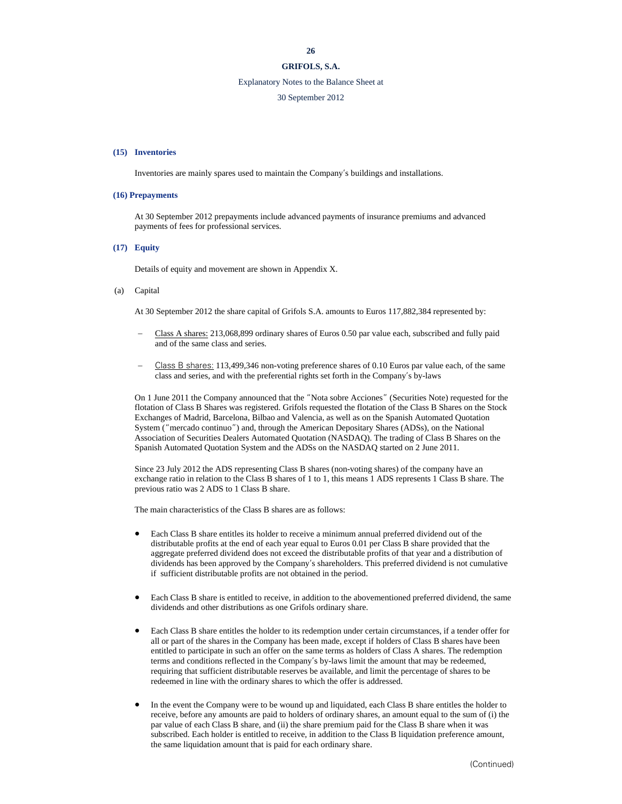## **GRIFOLS, S.A.**

## Explanatory Notes to the Balance Sheet at

#### 30 September 2012

#### **(15) Inventories**

Inventories are mainly spares used to maintain the Company's buildings and installations.

#### **(16) Prepayments**

At 30 September 2012 prepayments include advanced payments of insurance premiums and advanced payments of fees for professional services.

#### **(17) Equity**

Details of equity and movement are shown in Appendix X.

(a) Capital

At 30 September 2012 the share capital of Grifols S.A. amounts to Euros 117,882,384 represented by:

- Class A shares: 213,068,899 ordinary shares of Euros 0.50 par value each, subscribed and fully paid and of the same class and series.
- Class B shares: 113,499,346 non-voting preference shares of 0.10 Euros par value each, of the same class and series, and with the preferential rights set forth in the Company's by-laws

On 1 June 2011 the Company announced that the "Nota sobre Acciones" (Securities Note) requested for the flotation of Class B Shares was registered. Grifols requested the flotation of the Class B Shares on the Stock Exchanges of Madrid, Barcelona, Bilbao and Valencia, as well as on the Spanish Automated Quotation System ("mercado continuo") and, through the American Depositary Shares (ADSs), on the National Association of Securities Dealers Automated Quotation (NASDAQ). The trading of Class B Shares on the Spanish Automated Quotation System and the ADSs on the NASDAQ started on 2 June 2011.

Since 23 July 2012 the ADS representing Class B shares (non-voting shares) of the company have an exchange ratio in relation to the Class B shares of 1 to 1, this means 1 ADS represents 1 Class B share. The previous ratio was 2 ADS to 1 Class B share.

The main characteristics of the Class B shares are as follows:

- Each Class B share entitles its holder to receive a minimum annual preferred dividend out of the distributable profits at the end of each year equal to Euros 0.01 per Class B share provided that the aggregate preferred dividend does not exceed the distributable profits of that year and a distribution of dividends has been approved by the Company's shareholders. This preferred dividend is not cumulative if sufficient distributable profits are not obtained in the period.
- Each Class B share is entitled to receive, in addition to the abovementioned preferred dividend, the same dividends and other distributions as one Grifols ordinary share.
- Each Class B share entitles the holder to its redemption under certain circumstances, if a tender offer for all or part of the shares in the Company has been made, except if holders of Class B shares have been entitled to participate in such an offer on the same terms as holders of Class A shares. The redemption terms and conditions reflected in the Company's by-laws limit the amount that may be redeemed, requiring that sufficient distributable reserves be available, and limit the percentage of shares to be redeemed in line with the ordinary shares to which the offer is addressed.
- In the event the Company were to be wound up and liquidated, each Class B share entitles the holder to receive, before any amounts are paid to holders of ordinary shares, an amount equal to the sum of (i) the par value of each Class B share, and (ii) the share premium paid for the Class B share when it was subscribed. Each holder is entitled to receive, in addition to the Class B liquidation preference amount, the same liquidation amount that is paid for each ordinary share.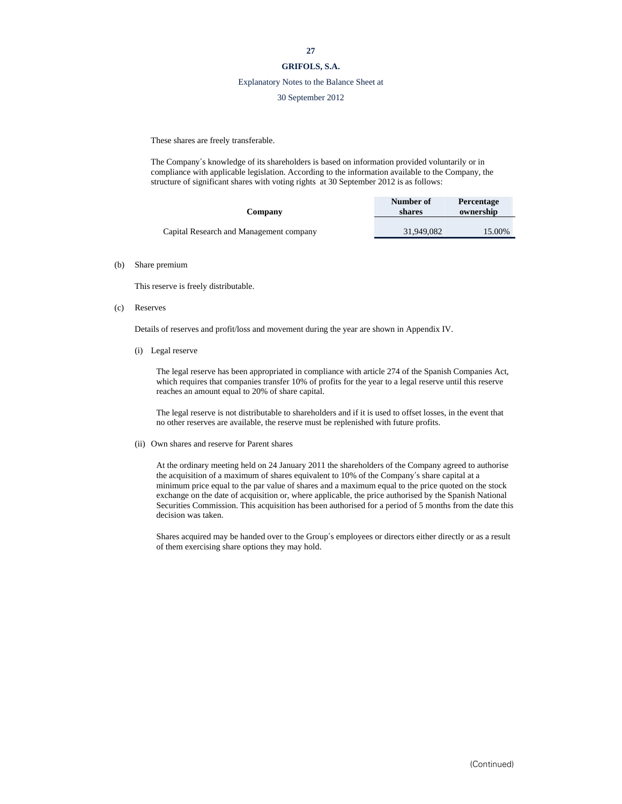## **GRIFOLS, S.A.**

#### Explanatory Notes to the Balance Sheet at

#### 30 September 2012

These shares are freely transferable.

The Company's knowledge of its shareholders is based on information provided voluntarily or in compliance with applicable legislation. According to the information available to the Company, the structure of significant shares with voting rights at 30 September 2012 is as follows:

| Company                                 | Number of<br>shares | <b>Percentage</b><br>ownership |
|-----------------------------------------|---------------------|--------------------------------|
| Capital Research and Management company | 31.949.082          | 15.00%                         |

#### (b) Share premium

This reserve is freely distributable.

(c) Reserves

Details of reserves and profit/loss and movement during the year are shown in Appendix IV.

(i) Legal reserve

The legal reserve has been appropriated in compliance with article 274 of the Spanish Companies Act, which requires that companies transfer 10% of profits for the year to a legal reserve until this reserve reaches an amount equal to 20% of share capital.

The legal reserve is not distributable to shareholders and if it is used to offset losses, in the event that no other reserves are available, the reserve must be replenished with future profits.

#### (ii) Own shares and reserve for Parent shares

At the ordinary meeting held on 24 January 2011 the shareholders of the Company agreed to authorise the acquisition of a maximum of shares equivalent to 10% of the Company's share capital at a minimum price equal to the par value of shares and a maximum equal to the price quoted on the stock exchange on the date of acquisition or, where applicable, the price authorised by the Spanish National Securities Commission. This acquisition has been authorised for a period of 5 months from the date this decision was taken.

Shares acquired may be handed over to the Group's employees or directors either directly or as a result of them exercising share options they may hold.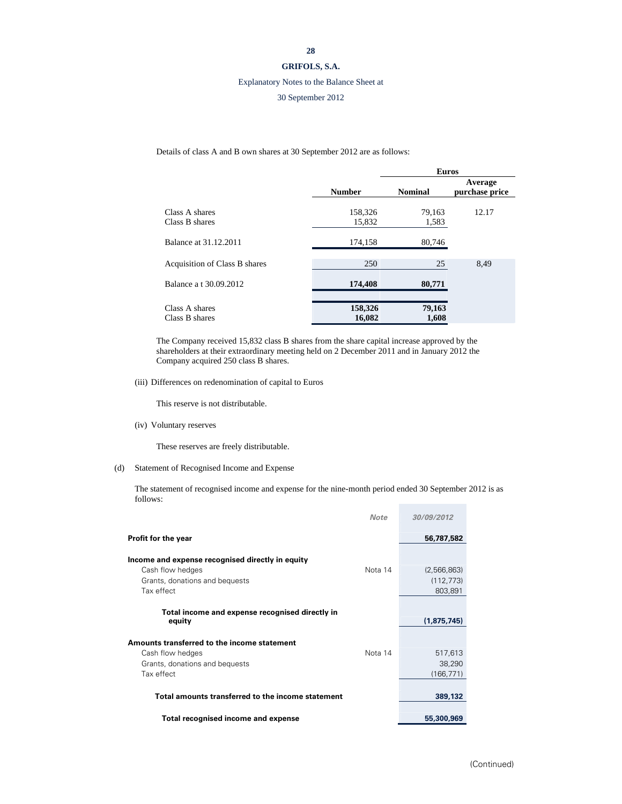## **GRIFOLS, S.A.**

## Explanatory Notes to the Balance Sheet at

## 30 September 2012

Details of class A and B own shares at 30 September 2012 are as follows:

|                                  |                   | <b>Euros</b>    |                           |  |
|----------------------------------|-------------------|-----------------|---------------------------|--|
|                                  | <b>Number</b>     | <b>Nominal</b>  | Average<br>purchase price |  |
| Class A shares<br>Class B shares | 158,326<br>15,832 | 79,163<br>1,583 | 12.17                     |  |
| Balance at 31.12.2011            | 174,158           | 80,746          |                           |  |
| Acquisition of Class B shares    | 250               | 25              | 8,49                      |  |
| Balance a t 30.09.2012           | 174,408           | 80,771          |                           |  |
| Class A shares<br>Class B shares | 158,326<br>16,082 | 79,163<br>1,608 |                           |  |

The Company received 15,832 class B shares from the share capital increase approved by the shareholders at their extraordinary meeting held on 2 December 2011 and in January 2012 the Company acquired 250 class B shares.

(iii) Differences on redenomination of capital to Euros

This reserve is not distributable.

(iv) Voluntary reserves

These reserves are freely distributable.

(d) Statement of Recognised Income and Expense

The statement of recognised income and expense for the nine-month period ended 30 September 2012 is as follows:

|                                                           | <b>Note</b> | 30/09/2012  |
|-----------------------------------------------------------|-------------|-------------|
| <b>Profit for the year</b>                                |             | 56,787,582  |
| Income and expense recognised directly in equity          |             |             |
| Cash flow hedges                                          | Nota 14     | (2,566,863) |
| Grants, donations and bequests                            |             | (112, 773)  |
| Tax effect                                                |             | 803,891     |
| Total income and expense recognised directly in<br>equity |             | (1,875,745) |
| Amounts transferred to the income statement               |             |             |
| Cash flow hedges                                          | Nota 14     | 517,613     |
| Grants, donations and bequests                            |             | 38,290      |
| Tax effect                                                |             | (166, 771)  |
| Total amounts transferred to the income statement         |             | 389,132     |
| Total recognised income and expense                       |             | 55,300,969  |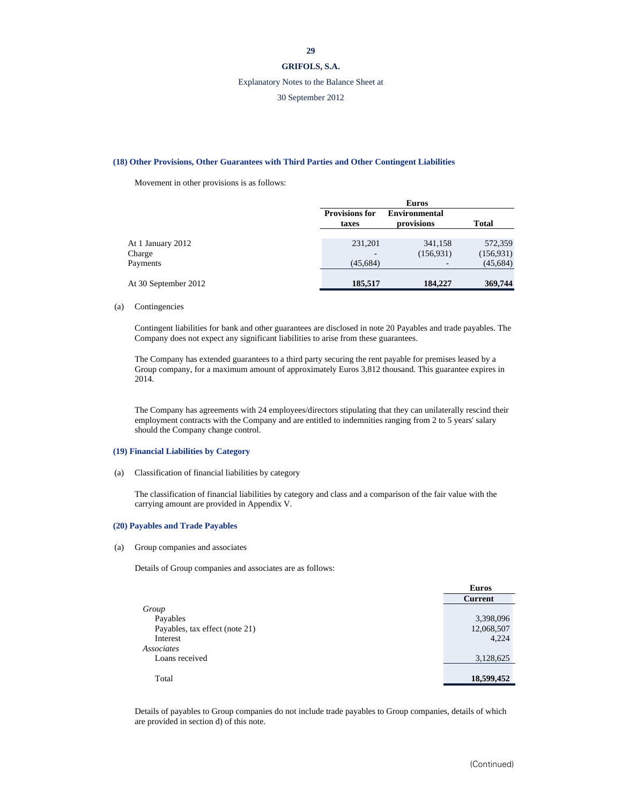#### **GRIFOLS, S.A.**

#### Explanatory Notes to the Balance Sheet at

## 30 September 2012

#### **(18) Other Provisions, Other Guarantees with Third Parties and Other Contingent Liabilities**

Movement in other provisions is as follows:

|                      |                                | <b>Euros</b>                       |            |  |
|----------------------|--------------------------------|------------------------------------|------------|--|
|                      | <b>Provisions for</b><br>taxes | <b>Environmental</b><br>provisions | Total      |  |
|                      |                                |                                    |            |  |
| At 1 January 2012    | 231,201                        | 341,158                            | 572,359    |  |
| Charge               |                                | (156, 931)                         | (156, 931) |  |
| Payments             | (45, 684)                      |                                    | (45, 684)  |  |
|                      |                                |                                    |            |  |
| At 30 September 2012 | 185,517                        | 184,227                            | 369,744    |  |

#### (a) Contingencies

Contingent liabilities for bank and other guarantees are disclosed in note 20 Payables and trade payables. The Company does not expect any significant liabilities to arise from these guarantees.

The Company has extended guarantees to a third party securing the rent payable for premises leased by a Group company, for a maximum amount of approximately Euros 3,812 thousand. This guarantee expires in 2014.

The Company has agreements with 24 employees/directors stipulating that they can unilaterally rescind their employment contracts with the Company and are entitled to indemnities ranging from 2 to 5 years' salary should the Company change control.

#### **(19) Financial Liabilities by Category**

(a) Classification of financial liabilities by category

The classification of financial liabilities by category and class and a comparison of the fair value with the carrying amount are provided in Appendix V.

## **(20) Payables and Trade Payables**

(a) Group companies and associates

Details of Group companies and associates are as follows:

|                                | <b>Euros</b>   |
|--------------------------------|----------------|
|                                | <b>Current</b> |
| Group                          |                |
| Payables                       | 3,398,096      |
| Payables, tax effect (note 21) | 12,068,507     |
| Interest                       | 4,224          |
| Associates                     |                |
| Loans received                 | 3,128,625      |
|                                |                |
| Total                          | 18,599,452     |

Details of payables to Group companies do not include trade payables to Group companies, details of which are provided in section d) of this note.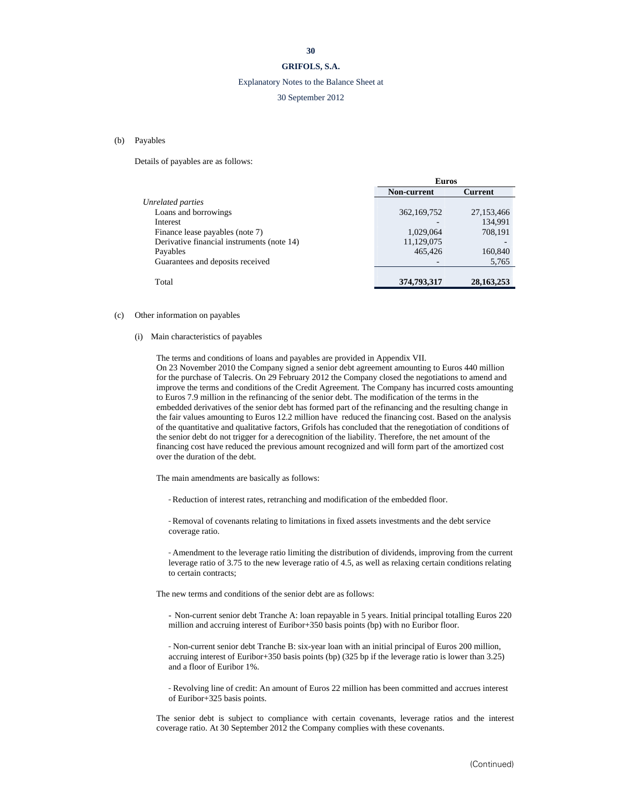## **GRIFOLS, S.A.**

## Explanatory Notes to the Balance Sheet at

## 30 September 2012

## (b) Payables

Details of payables are as follows:

|                                            | <b>Euros</b> |                |
|--------------------------------------------|--------------|----------------|
|                                            | Non-current  | <b>Current</b> |
| Unrelated parties                          |              |                |
| Loans and borrowings                       | 362,169,752  | 27,153,466     |
| Interest                                   |              | 134.991        |
| Finance lease payables (note 7)            | 1,029,064    | 708,191        |
| Derivative financial instruments (note 14) | 11,129,075   |                |
| Payables                                   | 465,426      | 160,840        |
| Guarantees and deposits received           |              | 5,765          |
|                                            |              |                |
| Total                                      | 374,793,317  | 28, 163, 253   |
|                                            |              |                |

#### (c) Other information on payables

#### (i) Main characteristics of payables

The terms and conditions of loans and payables are provided in Appendix VII. On 23 November 2010 the Company signed a senior debt agreement amounting to Euros 440 million for the purchase of Talecris. On 29 February 2012 the Company closed the negotiations to amend and improve the terms and conditions of the Credit Agreement. The Company has incurred costs amounting to Euros 7.9 million in the refinancing of the senior debt. The modification of the terms in the embedded derivatives of the senior debt has formed part of the refinancing and the resulting change in the fair values amounting to Euros 12.2 million have reduced the financing cost. Based on the analysis of the quantitative and qualitative factors, Grifols has concluded that the renegotiation of conditions of the senior debt do not trigger for a derecognition of the liability. Therefore, the net amount of the financing cost have reduced the previous amount recognized and will form part of the amortized cost over the duration of the debt.

The main amendments are basically as follows:

- Reduction of interest rates, retranching and modification of the embedded floor.

- Removal of covenants relating to limitations in fixed assets investments and the debt service coverage ratio.

- Amendment to the leverage ratio limiting the distribution of dividends, improving from the current leverage ratio of 3.75 to the new leverage ratio of 4.5, as well as relaxing certain conditions relating to certain contracts;

The new terms and conditions of the senior debt are as follows:

- Non-current senior debt Tranche A: loan repayable in 5 years. Initial principal totalling Euros 220 million and accruing interest of Euribor+350 basis points (bp) with no Euribor floor.

- Non-current senior debt Tranche B: six-year loan with an initial principal of Euros 200 million, accruing interest of Euribor+350 basis points (bp) (325 bp if the leverage ratio is lower than 3.25) and a floor of Euribor 1%.

- Revolving line of credit: An amount of Euros 22 million has been committed and accrues interest of Euribor+325 basis points.

The senior debt is subject to compliance with certain covenants, leverage ratios and the interest coverage ratio. At 30 September 2012 the Company complies with these covenants.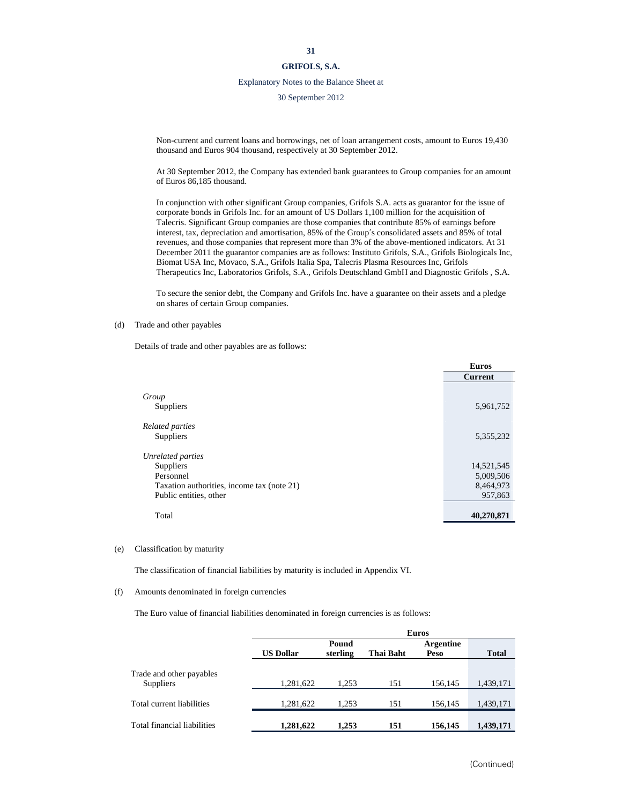#### Explanatory Notes to the Balance Sheet at

30 September 2012

Non-current and current loans and borrowings, net of loan arrangement costs, amount to Euros 19,430 thousand and Euros 904 thousand, respectively at 30 September 2012.

At 30 September 2012, the Company has extended bank guarantees to Group companies for an amount of Euros 86,185 thousand.

In conjunction with other significant Group companies, Grifols S.A. acts as guarantor for the issue of corporate bonds in Grifols Inc. for an amount of US Dollars 1,100 million for the acquisition of Talecris. Significant Group companies are those companies that contribute 85% of earnings before interest, tax, depreciation and amortisation, 85% of the Group's consolidated assets and 85% of total revenues, and those companies that represent more than 3% of the above-mentioned indicators. At 31 December 2011 the guarantor companies are as follows: Instituto Grifols, S.A., Grifols Biologicals Inc, Biomat USA Inc, Movaco, S.A., Grifols Italia Spa, Talecris Plasma Resources Inc, Grifols Therapeutics Inc, Laboratorios Grifols, S.A., Grifols Deutschland GmbH and Diagnostic Grifols , S.A.

To secure the senior debt, the Company and Grifols Inc. have a guarantee on their assets and a pledge on shares of certain Group companies.

#### (d) Trade and other payables

Details of trade and other payables are as follows:

|                                            | <b>Euros</b>   |
|--------------------------------------------|----------------|
|                                            | <b>Current</b> |
|                                            |                |
| Group                                      |                |
| Suppliers                                  | 5,961,752      |
| Related parties                            |                |
| Suppliers                                  | 5,355,232      |
| Unrelated parties                          |                |
| Suppliers                                  | 14,521,545     |
| Personnel                                  | 5,009,506      |
| Taxation authorities, income tax (note 21) | 8,464,973      |
| Public entities, other                     | 957,863        |
|                                            |                |
| Total                                      | 40,270,871     |

#### (e) Classification by maturity

The classification of financial liabilities by maturity is included in Appendix VI.

#### (f) Amounts denominated in foreign currencies

The Euro value of financial liabilities denominated in foreign currencies is as follows:

|                                       |                  | <b>Euros</b>      |           |                          |              |  |  |
|---------------------------------------|------------------|-------------------|-----------|--------------------------|--------------|--|--|
|                                       | <b>US Dollar</b> | Pound<br>sterling | Thai Baht | <b>Argentine</b><br>Peso | <b>Total</b> |  |  |
| Trade and other payables<br>Suppliers | 1,281,622        | 1.253             | 151       | 156,145                  | 1,439,171    |  |  |
| Total current liabilities             | 1,281,622        | 1.253             | 151       | 156.145                  | 1,439,171    |  |  |
| Total financial liabilities           | 1,281,622        | 1,253             | 151       | 156,145                  | 1,439,171    |  |  |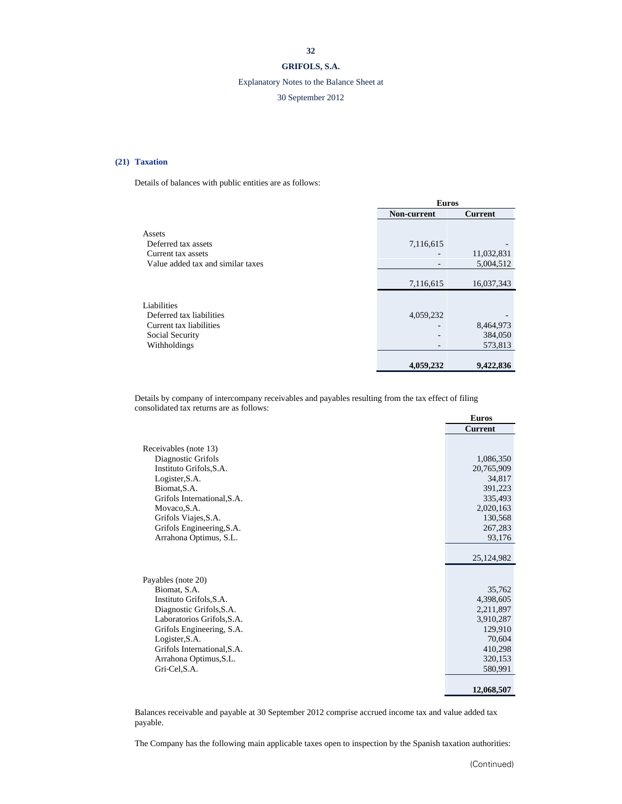## **GRIFOLS, S.A.**

## Explanatory Notes to the Balance Sheet at

## 30 September 2012

## **(21) Taxation**

Details of balances with public entities are as follows:

|                                                                                          | <b>Euros</b> |                         |  |  |
|------------------------------------------------------------------------------------------|--------------|-------------------------|--|--|
|                                                                                          | Non-current  | <b>Current</b>          |  |  |
| Assets<br>Deferred tax assets<br>Current tax assets<br>Value added tax and similar taxes | 7,116,615    | 11,032,831<br>5,004,512 |  |  |
|                                                                                          | 7,116,615    | 16,037,343              |  |  |
| Liabilities                                                                              |              |                         |  |  |
| Deferred tax liabilities<br>Current tax liabilities                                      | 4,059,232    | 8,464,973               |  |  |
| Social Security<br>Withholdings                                                          |              | 384,050<br>573,813      |  |  |
|                                                                                          | 4,059,232    | 9,422,836               |  |  |

Details by company of intercompany receivables and payables resulting from the tax effect of filing consolidated tax returns are as follows:

|                             | <b>Euros</b>   |
|-----------------------------|----------------|
|                             | <b>Current</b> |
| Receivables (note 13)       |                |
| Diagnostic Grifols          | 1,086,350      |
| Instituto Grifols, S.A.     | 20,765,909     |
| Logister, S.A.              | 34,817         |
| Biomat, S.A.                | 391,223        |
| Grifols International, S.A. | 335,493        |
| Movaco, S.A.                | 2,020,163      |
| Grifols Viajes, S.A.        | 130,568        |
| Grifols Engineering, S.A.   | 267,283        |
| Arrahona Optimus, S.L.      | 93,176         |
|                             | 25,124,982     |
| Payables (note 20)          |                |
| Biomat, S.A.                | 35,762         |
| Instituto Grifols, S.A.     | 4,398,605      |
| Diagnostic Grifols, S.A.    | 2,211,897      |
| Laboratorios Grifols, S.A.  | 3,910,287      |
| Grifols Engineering, S.A.   | 129,910        |
| Logister, S.A.              | 70,604         |
| Grifols International, S.A. | 410,298        |
| Arrahona Optimus, S.L.      | 320,153        |
| Gri-Cel, S.A.               | 580,991        |
|                             | 12,068,507     |

Balances receivable and payable at 30 September 2012 comprise accrued income tax and value added tax payable.

The Company has the following main applicable taxes open to inspection by the Spanish taxation authorities: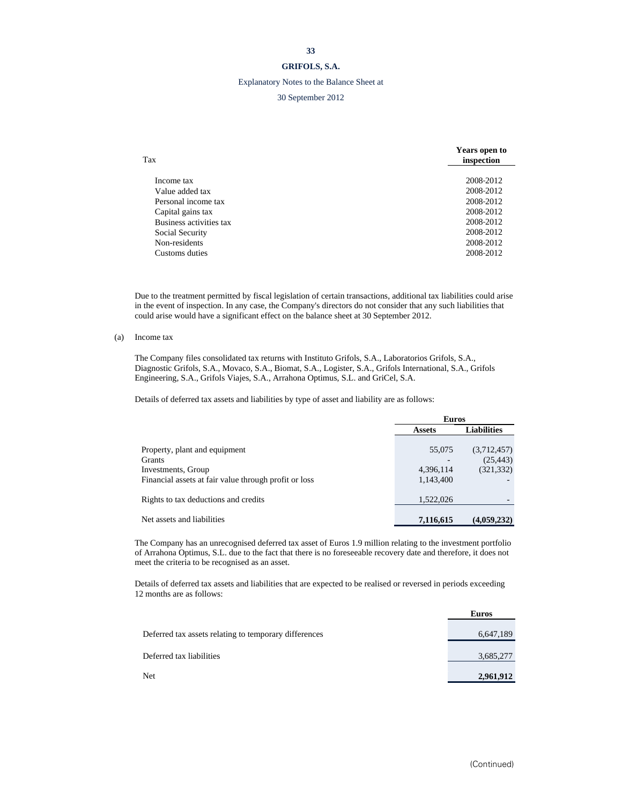## **GRIFOLS, S.A.**

## Explanatory Notes to the Balance Sheet at

## 30 September 2012

| Tax                     | <b>Years open to</b><br>inspection |
|-------------------------|------------------------------------|
|                         |                                    |
| Income tax              | 2008-2012                          |
| Value added tax         | 2008-2012                          |
| Personal income tax     | 2008-2012                          |
| Capital gains tax       | 2008-2012                          |
| Business activities tax | 2008-2012                          |
| Social Security         | 2008-2012                          |
| Non-residents           | 2008-2012                          |
| Customs duties          | 2008-2012                          |

Due to the treatment permitted by fiscal legislation of certain transactions, additional tax liabilities could arise in the event of inspection. In any case, the Company's directors do not consider that any such liabilities that could arise would have a significant effect on the balance sheet at 30 September 2012.

(a) Income tax

The Company files consolidated tax returns with Instituto Grifols, S.A., Laboratorios Grifols, S.A., Diagnostic Grifols, S.A., Movaco, S.A., Biomat, S.A., Logister, S.A., Grifols International, S.A., Grifols Engineering, S.A., Grifols Viajes, S.A., Arrahona Optimus, S.L. and GriCel, S.A.

Details of deferred tax assets and liabilities by type of asset and liability are as follows:

|                                                       | <b>Euros</b>  |                    |
|-------------------------------------------------------|---------------|--------------------|
|                                                       | <b>Assets</b> | <b>Liabilities</b> |
|                                                       |               |                    |
| Property, plant and equipment                         | 55,075        | (3,712,457)        |
| <b>Grants</b>                                         |               | (25, 443)          |
| Investments, Group                                    | 4,396,114     | (321, 332)         |
| Financial assets at fair value through profit or loss | 1,143,400     |                    |
|                                                       |               |                    |
| Rights to tax deductions and credits                  | 1,522,026     |                    |
|                                                       |               |                    |
| Net assets and liabilities                            | 7,116,615     | (4,059,232)        |
|                                                       |               |                    |

The Company has an unrecognised deferred tax asset of Euros 1.9 million relating to the investment portfolio of Arrahona Optimus, S.L. due to the fact that there is no foreseeable recovery date and therefore, it does not meet the criteria to be recognised as an asset.

Details of deferred tax assets and liabilities that are expected to be realised or reversed in periods exceeding 12 months are as follows:

|                                                       | <b>Euros</b> |
|-------------------------------------------------------|--------------|
| Deferred tax assets relating to temporary differences | 6,647,189    |
| Deferred tax liabilities                              | 3,685,277    |
| <b>Net</b>                                            | 2,961,912    |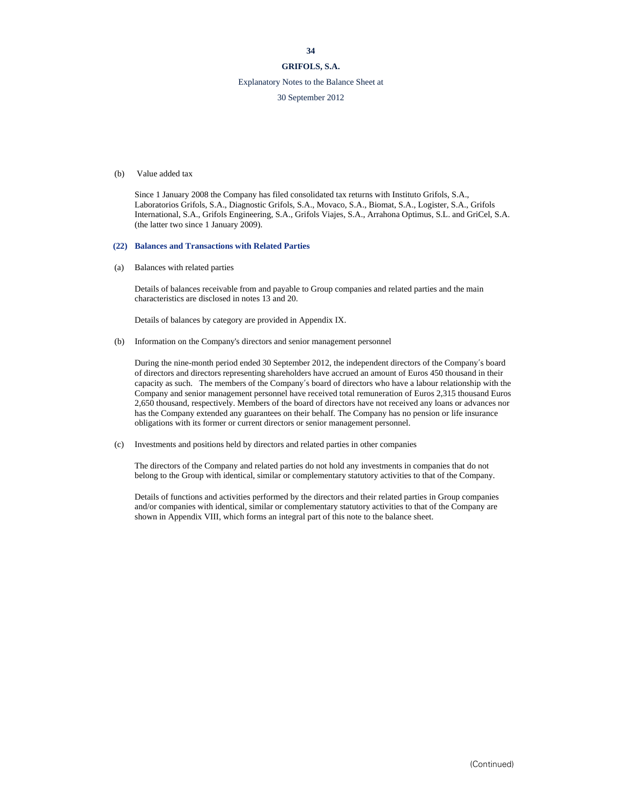## **GRIFOLS, S.A.**

## Explanatory Notes to the Balance Sheet at

30 September 2012

#### (b) Value added tax

Since 1 January 2008 the Company has filed consolidated tax returns with Instituto Grifols, S.A., Laboratorios Grifols, S.A., Diagnostic Grifols, S.A., Movaco, S.A., Biomat, S.A., Logister, S.A., Grifols International, S.A., Grifols Engineering, S.A., Grifols Viajes, S.A., Arrahona Optimus, S.L. and GriCel, S.A. (the latter two since 1 January 2009).

#### **(22) Balances and Transactions with Related Parties**

(a) Balances with related parties

Details of balances receivable from and payable to Group companies and related parties and the main characteristics are disclosed in notes 13 and 20.

Details of balances by category are provided in Appendix IX.

#### (b) Information on the Company's directors and senior management personnel

During the nine-month period ended 30 September 2012, the independent directors of the Company's board of directors and directors representing shareholders have accrued an amount of Euros 450 thousand in their capacity as such. The members of the Company's board of directors who have a labour relationship with the Company and senior management personnel have received total remuneration of Euros 2,315 thousand Euros 2,650 thousand, respectively. Members of the board of directors have not received any loans or advances nor has the Company extended any guarantees on their behalf. The Company has no pension or life insurance obligations with its former or current directors or senior management personnel.

(c) Investments and positions held by directors and related parties in other companies

The directors of the Company and related parties do not hold any investments in companies that do not belong to the Group with identical, similar or complementary statutory activities to that of the Company.

Details of functions and activities performed by the directors and their related parties in Group companies and/or companies with identical, similar or complementary statutory activities to that of the Company are shown in Appendix VIII, which forms an integral part of this note to the balance sheet.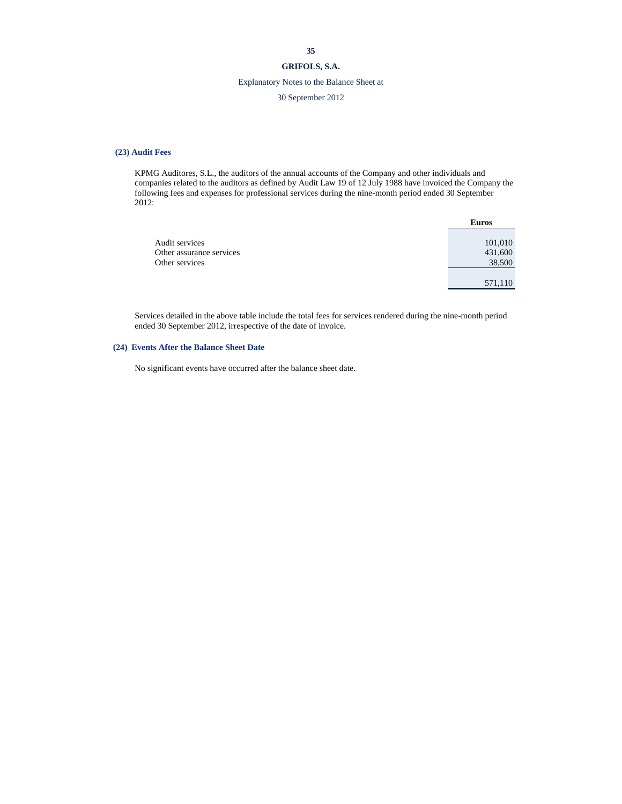## Explanatory Notes to the Balance Sheet at

## 30 September 2012

#### **(23) Audit Fees**

KPMG Auditores, S.L., the auditors of the annual accounts of the Company and other individuals and companies related to the auditors as defined by Audit Law 19 of 12 July 1988 have invoiced the Company the following fees and expenses for professional services during the nine-month period ended 30 September 2012:

|                          | <b>Euros</b> |
|--------------------------|--------------|
|                          |              |
| Audit services           | 101,010      |
| Other assurance services | 431,600      |
| Other services           | 38,500       |
|                          |              |
|                          | 571,110      |

Services detailed in the above table include the total fees for services rendered during the nine-month period ended 30 September 2012, irrespective of the date of invoice.

#### **(24) Events After the Balance Sheet Date**

No significant events have occurred after the balance sheet date.

#### **35**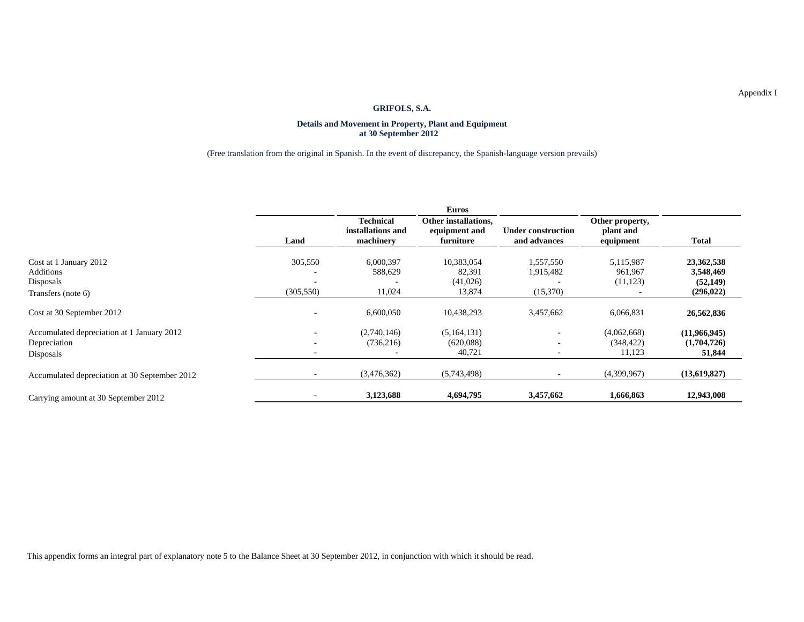#### **Details and Movement in Property, Plant and Equipment at 30 September 2012**

## (Free translation from the original in Spanish. In the event of discrepancy, the Spanish-language version prevails)

|                                               |                          |                                                    | <b>Euros</b>                                       |                                           |                                           |              |
|-----------------------------------------------|--------------------------|----------------------------------------------------|----------------------------------------------------|-------------------------------------------|-------------------------------------------|--------------|
|                                               | Land                     | <b>Technical</b><br>installations and<br>machinery | Other installations,<br>equipment and<br>furniture | <b>Under construction</b><br>and advances | Other property,<br>plant and<br>equipment | <b>Total</b> |
| Cost at 1 January 2012                        | 305,550                  | 6,000,397                                          | 10,383,054                                         | 1,557,550                                 | 5,115,987                                 | 23,362,538   |
| Additions                                     |                          | 588,629                                            | 82,391                                             | 1,915,482                                 | 961,967                                   | 3,548,469    |
| Disposals                                     |                          |                                                    | (41,026)                                           |                                           | (11, 123)                                 | (52, 149)    |
| Transfers (note 6)                            | (305, 550)               | 11,024                                             | 13,874                                             | (15,370)                                  |                                           | (296, 022)   |
| Cost at 30 September 2012                     |                          | 6,600,050                                          | 10,438,293                                         | 3,457,662                                 | 6,066,831                                 | 26,562,836   |
| Accumulated depreciation at 1 January 2012    |                          | (2,740,146)                                        | (5,164,131)                                        |                                           | (4,062,668)                               | (11,966,945) |
| Depreciation                                  |                          | (736, 216)                                         | (620,088)                                          |                                           | (348, 422)                                | (1,704,726)  |
| Disposals                                     | $\overline{\phantom{a}}$ |                                                    | 40,721                                             |                                           | 11,123                                    | 51,844       |
| Accumulated depreciation at 30 September 2012 |                          | (3,476,362)                                        | (5,743,498)                                        |                                           | (4,399,967)                               | (13,619,827) |
| Carrying amount at 30 September 2012          |                          | 3,123,688                                          | 4,694,795                                          | 3,457,662                                 | 1,666,863                                 | 12,943,008   |

This appendix forms an integral part of explanatory note 5 to the Balance Sheet at 30 September 2012, in conjunction with which it should be read.

Appendix I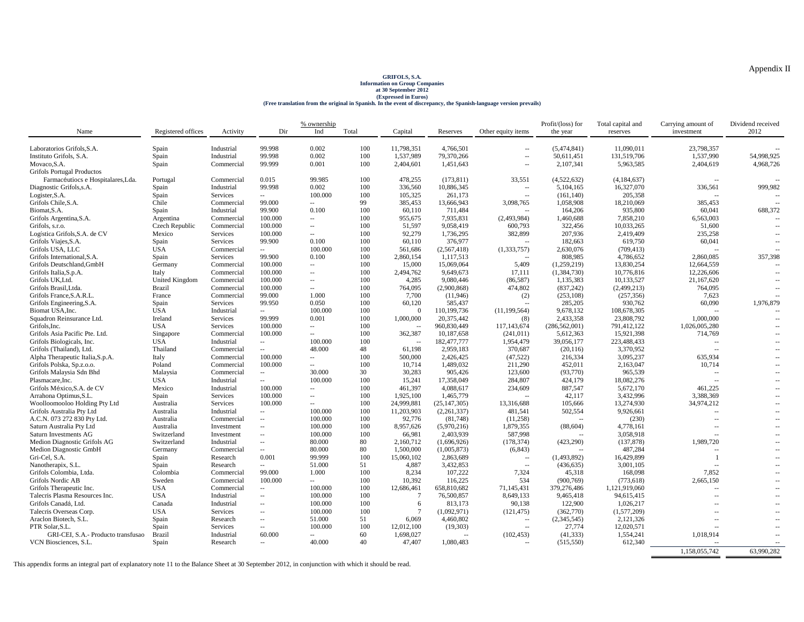# GRIFOLS, S.A.<br>Information on Group Companies<br>at 30 September 2012<br>(Eree translation from the original in Spanish. In the event of discrepancy, the Spanish-language version prevails)

|                                    |                    |                        |                                   | % ownership              |       |                 |                |                          | Profit/(loss) for    | Total capital and    | Carrying amount of                         | Dividend received        |
|------------------------------------|--------------------|------------------------|-----------------------------------|--------------------------|-------|-----------------|----------------|--------------------------|----------------------|----------------------|--------------------------------------------|--------------------------|
| Name                               | Registered offices | Activity               | Dir                               | Ind                      | Total | Capital         | Reserves       | Other equity items       | the year             | reserves             | investment                                 | 2012                     |
|                                    |                    |                        |                                   |                          |       |                 |                |                          |                      |                      |                                            |                          |
| Laboratorios Grifols, S.A.         | Spain              | Industrial             | 99.998                            | 0.002                    | 100   | 11,798,351      | 4,766,501      | $\sim$ $\sim$            | (5,474,841)          | 11,090,011           | 23,798,357                                 |                          |
| Instituto Grifols, S.A.            | Spain              | Industrial             | 99.998                            | 0.002                    | 100   | 1,537,989       | 79,370,266     | $\sim$                   | 50,611,451           | 131,519,706          | 1,537,990                                  | 54,998,925               |
| Movaco, S.A.                       | Spain              | Commercial             | 99.999                            | 0.001                    | 100   | 2,404,601       | 1,451,643      | $\sim$                   | 2,107,341            | 5,963,585            | 2,404,619                                  | 4,968,726                |
| Grifols Portugal Productos         |                    |                        |                                   |                          |       |                 |                |                          |                      |                      |                                            |                          |
| Farmacéutiocs e Hospitalares, Lda. | Portugal           | Commercial             | 0.015                             | 99.985                   | 100   | 478,255         | (173, 811)     | 33,551                   | (4,522,632)          | (4, 184, 637)        |                                            |                          |
| Diagnostic Grifols, s.A.           | Spain              | Industrial             | 99.998                            | 0.002                    | 100   | 336,560         | 10.886.345     | $\sim$                   | 5.104.165            | 16,327,070           | 336.561                                    | 999,982                  |
| Logister, S.A.                     | Spain              | Services               | $\sim$                            | 100.000                  | 100   | 105,325         | 261,173        | $\overline{\phantom{a}}$ | (161, 140)           | 205,358              |                                            |                          |
| Grifols Chile, S.A.                | Chile              | Commercial             | 99.000                            | $\sim$                   | 99    | 385,453         | 13,666,943     | 3,098,765                | 1,058,908            | 18,210,069           | 385,453                                    |                          |
| Biomat, S.A.                       | Spain              | Industrial             | 99.900                            | 0.100                    | 100   | 60,110          | 711,484        | $\sim$                   | 164,206              | 935,800              | 60,041                                     | 688,372                  |
| Grifols Argentina, S.A.            | Argentina          | Commercial             | 100,000                           | $\overline{\phantom{a}}$ | 100   | 955.675         | 7,935,831      | (2,493,984)              | 1,460,688            | 7,858,210            | 6,563,003                                  |                          |
| Grifols, s.r.o.                    | Czech Republic     | Commercial             | 100.000                           | $\overline{\phantom{a}}$ | 100   | 51,597          | 9,058,419      | 600,793                  | 322,456              | 10,033,265           | 51,600                                     | $\sim$ $\sim$            |
| Logística Grifols, S.A. de CV      | Mexico             | Services               | 100.000                           | $\sim$ $-$               | 100   | 92,279          | 1,736,295      | 382,899                  | 207,936              | 2,419,409            | 235,258                                    | $\sim$                   |
| Grifols Viajes, S.A.               | Spain              | Services               | 99.900                            | 0.100                    | 100   | 60,110          | 376,977        | $\sim$                   | 182,663              | 619,750              | 60,041                                     | $\overline{a}$           |
| Grifols USA, LLC                   | <b>USA</b>         | Commercial             | $\sim$                            | 100.000                  | 100   | 561,686         | (2,567,418)    | (1,333,757)              | 2,630,076            | (709, 413)           |                                            |                          |
| Grifols International, S.A.        | Spain              | Services               | 99.900                            | 0.100                    | 100   | 2,860,154       | 1,117,513      | $\sim$                   | 808.985              | 4,786,652            | 2,860,085                                  | 357,398                  |
| Grifols Deutschland, GmbH          | Germany            | Commercial             | 100.000                           | $\overline{\phantom{a}}$ | 100   | 15,000          | 15,069,064     | 5,409                    | (1,259,219)          | 13,830,254           | 12,664,559                                 |                          |
| Grifols Italia, S.p.A.             | Italy              | Commercial             | 100.000                           | $\overline{\phantom{a}}$ | 100   | 2,494,762       | 9,649,673      | 17,111                   | (1,384,730)          | 10,776,816           | 12,226,606                                 | ÷.                       |
| Grifols UK,Ltd.                    | United Kingdom     | Commercial             | 100.000                           | $\sim$                   | 100   | 4,285           | 9,080,446      | (86, 587)                | 1,135,383            | 10,133,527           | 21,167,620                                 | $\sim$                   |
| Grifols Brasil, Ltda.              | <b>Brazil</b>      | Commercial             | 100,000                           | $\sim$                   | 100   | 764,095         | (2,900,868)    | 474,802                  | (837, 242)           | (2,499,213)          | 764,095                                    | $\sim$ $\sim$            |
| Grifols France, S.A.R.L.           | France             | Commercial             | 99.000                            | 1.000                    | 100   | 7,700           | (11,946)       | (2)                      | (253, 108)           | (257, 356)           | 7,623                                      | $\sim$                   |
| Grifols Engineering, S.A.          | Spain              | Services               | 99.950                            | 0.050                    | 100   | 60,120          | 585,437        |                          | 285,205              | 930,762              | 60,090                                     | 1,976,879                |
| Biomat USA, Inc.                   | <b>USA</b>         | Industrial             | $\sim$                            | 100.000                  | 100   | $\Omega$        | 110,199,736    | (11, 199, 564)           | 9,678,132            | 108,678,305          |                                            |                          |
| Squadron Reinsurance Ltd.          | Ireland            | Services               | 99.999                            | 0.001                    | 100   | 1,000,000       | 20,375,442     | (8)                      | 2,433,358            | 23,808,792           | 1,000,000                                  | $\sim$                   |
| Grifols.Inc.                       | <b>USA</b>         | Services               | 100.000                           | $\sim$                   | 100   | $\sim$          | 960,830,449    | 117,143,674              | (286, 562, 001)      | 791,412,122          | 1,026,005,280                              | $\overline{a}$           |
| Grifols Asia Pacific Pte. Ltd.     | Singapore          | Commercial             | 100.000                           | $\sim$ $\sim$            | 100   | 362,387         | 10,187,658     | (241, 011)               | 5,612,363            | 15,921,398           | 714,769                                    | $\overline{a}$           |
| Grifols Biologicals, Inc.          | <b>USA</b>         | Industrial             | $-1$                              | 100.000                  | 100   | $\sim$          | 182,477,777    | 1,954,479                | 39,056,177           | 223,488,433          | ÷.                                         | ÷.                       |
| Grifols (Thailand), Ltd.           | Thailand           | Commercial             | $\sim$                            | 48,000                   | 48    | 61,198          | 2.959.183      | 370,687                  | (20, 116)            | 3,370,952            | $\sim$                                     | $\sim$                   |
| Alpha Therapeutic Italia, S.p.A.   | Italy              | Commercial             | 100.000                           | $\sim$ $\sim$            | 100   | 500,000         | 2,426,425      | (47, 522)                | 216,334              | 3,095,237            | 635,934                                    | $\overline{\phantom{a}}$ |
| Grifols Polska, Sp.z.o.o.          | Poland             | Commercial             | 100.000                           | $\overline{\phantom{a}}$ | 100   | 10,714          | 1,489,032      | 211,290                  | 452,011              | 2,163,047            | 10,714                                     | $\overline{a}$           |
| Grifols Malaysia Sdn Bhd           | Malaysia           | Commercial             | $\sim$                            | 30,000                   | 30    | 30,283          | 905,426        | 123,600                  | (93,770)             | 965,539              | ÷.                                         | $\overline{a}$           |
| Plasmacare, Inc.                   | <b>USA</b>         | Industrial             | $\sim$                            | 100.000                  | 100   | 15,241          | 17,358,049     | 284,807                  | 424,179              | 18,082,276           | $\sim$                                     | $\sim$ $-$               |
| Grifols México, S.A. de CV         | Mexico             | Industrial             | 100.000                           | $\sim$                   | 100   | 461.397         | 4,088,617      | 234,609                  | 887,547              | 5,672,170            | 461.225                                    | $\overline{a}$           |
| Arrahona Optimus, S.L.             | Spain              | Services               | 100.000                           | $\sim$                   | 100   | 1,925,100       | 1,465,779      |                          | 42,117               | 3,432,996            | 3,388,369                                  | $\sim$                   |
| Woolloomooloo Holding Pty Ltd      | Australia          | Services               | 100,000                           | $\sim$                   | 100   | 24,999,881      | (25, 147, 305) | 13,316,688               | 105,666              | 13,274,930           | 34,974,212                                 | $\overline{\phantom{a}}$ |
| Grifols Australia Pty Ltd          | Australia          | Industrial             | $\sim$                            | 100,000                  | 100   | 11,203,903      | (2,261,337)    | 481,541                  | 502,554              | 9,926,661            | $\sim$                                     | $\sim$                   |
| A.C.N. 073 272 830 Pty Ltd.        | Australia          | Commercial             | $\overline{\phantom{a}}$          | 100,000                  | 100   | 92,776          | (81,748)       | (11,258)                 | $\sim$               | (230)                | $\sim$                                     | $\sim$                   |
| Saturn Australia Pty Ltd           | Australia          | Investment             | Ξ.                                | 100,000                  | 100   | 8.957.626       | (5,970,216)    | 1,879,355                | (88, 604)            | 4,778,161            | $\overline{\phantom{a}}$                   | $\overline{\phantom{a}}$ |
| Saturn Investments AG              | Switzerland        | Investment             | $\overline{\phantom{a}}$          | 100.000                  | 100   | 66,981          | 2,403,939      | 587,998                  |                      | 3,058,918            | $\sim$                                     |                          |
| Medion Diagnostic Grifols AG       | Switzerland        | Industrial             | $\sim$                            | 80.000                   | 80    | 2,160,712       | (1,696,926)    | (178, 374)               | (423, 290)           | (137, 878)           | 1,989,720                                  | $\sim$                   |
| Medion Diagnostic GmbH             |                    |                        |                                   | 80,000                   | 80    | 1,500,000       | (1,005,873)    |                          |                      | 487,284              |                                            |                          |
| Gri-Cel, S.A.                      | Germany<br>Spain   | Commercial<br>Research | $\overline{\phantom{a}}$<br>0.001 | 99.999                   | 100   | 15,060,102      | 2,863,689      | (6, 843)<br>$\sim$       |                      | 16.429.899           | $\overline{\phantom{a}}$<br>$\overline{1}$ | $\overline{\phantom{a}}$ |
| Nanotherapix, S.L.                 |                    |                        |                                   | 51.000                   | 51    | 4,887           | 3,432,853      |                          | (1,493,892)          |                      | $\overline{a}$                             | $\overline{a}$           |
| Grifols Colombia, Ltda.            | Spain<br>Colombia  | Research<br>Commercial | $\sim$<br>99.000                  | 1.000                    | 100   | 8,234           | 107,222        | $\sim$                   | (436, 635)<br>45,318 | 3,001,105<br>168,098 | 7,852                                      | $\overline{a}$           |
|                                    |                    |                        |                                   |                          |       |                 |                | 7,324                    |                      |                      |                                            |                          |
| Grifols Nordic AB                  | Sweden             | Commercial             | 100.000                           | $\sim$                   | 100   | 10.392          | 116,225        | 534                      | (900, 769)           | (773, 618)           | 2,665,150                                  | $\sim$                   |
| Grifols Therapeutic Inc.           | <b>USA</b>         | Commercial             | $\sim$                            | 100,000                  | 100   | 12,686,461      | 658.810.682    | 71.145.431               | 379,276,486          | 1,121,919,060        |                                            |                          |
| Talecris Plasma Resources Inc.     | <b>USA</b>         | Industrial             | $\overline{\phantom{a}}$          | 100.000                  | 100   | $\overline{7}$  | 76,500,857     | 8,649,133                | 9,465,418            | 94,615,415           | $\overline{a}$                             |                          |
| Grifols Canadá, Ltd.               | Canada             | Industrial             | $\overline{\phantom{a}}$          | 100.000                  | 100   | 6               | 813,173        | 90,138                   | 122,900              | 1,026,217            | $\sim$                                     | $\sim$                   |
| Talecris Overseas Corp.            | <b>USA</b>         | Services               | $\overline{a}$                    | 100.000                  | 100   | $7\phantom{.0}$ | (1,092,971)    | (121, 475)               | (362,770)            | (1,577,209)          | $\overline{a}$                             | $\overline{a}$           |
| Araclon Biotech, S.L.              | Spain              | Research               | $\overline{\phantom{a}}$          | 51.000                   | 51    | 6,069           | 4,460,802      | $\sim$                   | (2,345,545)          | 2,121,326            |                                            |                          |
| PTR Solar, S.L.                    | Spain              | Services               | $\sim$                            | 100.000                  | 100   | 12,012,100      | (19,303)       | $\sim$                   | 27,774               | 12,020,571           | $-$                                        | $\overline{\phantom{a}}$ |
| GRI-CEI, S.A.- Producto transfusao | Brazil             | Industrial             | 60.000                            |                          | 60    | 1,698,027       |                | (102, 453)               | (41, 333)            | 1,554,241            | 1,018,914                                  | $\overline{\phantom{a}}$ |
| VCN Biosciences, S.L.              | Spain              | Research               | $\overline{a}$                    | 40.000                   | 40    | 47,407          | 1,080,483      |                          | (515, 550)           | 612,340              | $\sim$                                     | $\overline{\phantom{a}}$ |
|                                    |                    |                        |                                   |                          |       |                 |                |                          |                      |                      | 1,158,055,742                              | 63.990.282               |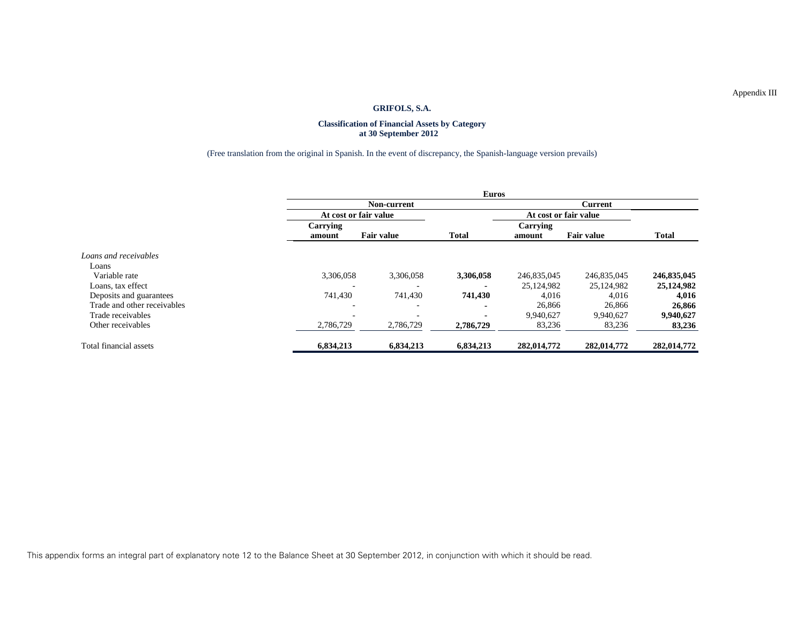#### **Classification of Financial Assets by Category at 30 September 2012**

## (Free translation from the original in Spanish. In the event of discrepancy, the Spanish-language version prevails)

|                             |                          | <b>Euros</b>          |              |                |                       |              |  |  |  |
|-----------------------------|--------------------------|-----------------------|--------------|----------------|-----------------------|--------------|--|--|--|
|                             |                          | <b>Non-current</b>    |              | <b>Current</b> |                       |              |  |  |  |
|                             |                          | At cost or fair value |              |                | At cost or fair value |              |  |  |  |
|                             | Carrying                 |                       |              | Carrying       |                       |              |  |  |  |
|                             | amount                   | <b>Fair value</b>     | <b>Total</b> | amount         | <b>Fair value</b>     | <b>Total</b> |  |  |  |
| Loans and receivables       |                          |                       |              |                |                       |              |  |  |  |
| Loans                       |                          |                       |              |                |                       |              |  |  |  |
| Variable rate               | 3,306,058                | 3,306,058             | 3,306,058    | 246,835,045    | 246,835,045           | 246,835,045  |  |  |  |
| Loans, tax effect           | $\overline{\phantom{0}}$ | ٠                     |              | 25,124,982     | 25,124,982            | 25,124,982   |  |  |  |
| Deposits and guarantees     | 741,430                  | 741,430               | 741,430      | 4.016          | 4,016                 | 4,016        |  |  |  |
| Trade and other receivables |                          | -                     |              | 26,866         | 26,866                | 26,866       |  |  |  |
| Trade receivables           |                          |                       |              | 9.940.627      | 9,940,627             | 9,940,627    |  |  |  |
| Other receivables           | 2,786,729                | 2,786,729             | 2,786,729    | 83,236         | 83,236                | 83,236       |  |  |  |
| Total financial assets      | 6,834,213                | 6,834,213             | 6,834,213    | 282,014,772    | 282,014,772           | 282,014,772  |  |  |  |

This appendix forms an integral part of explanatory note 12 to the Balance Sheet at 30 September 2012, in conjunction with which it should be read.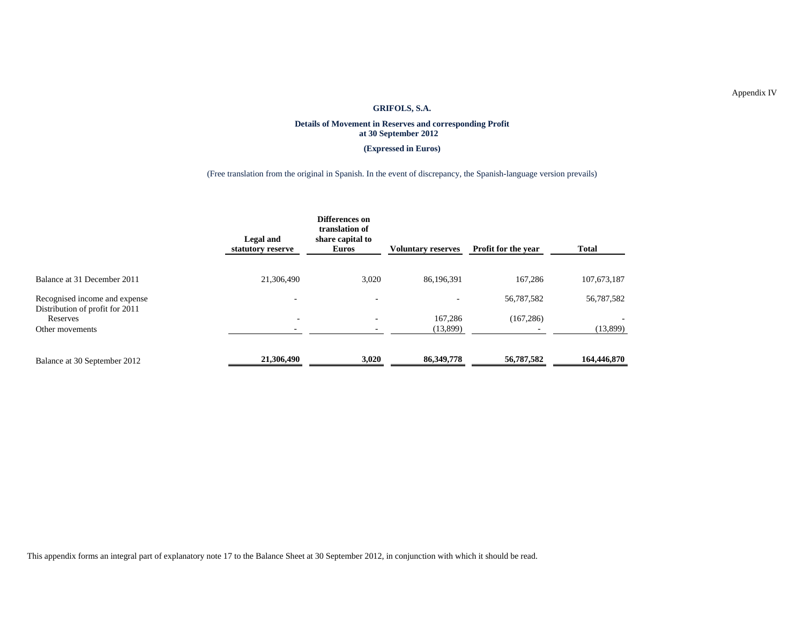#### **Details of Movement in Reserves and corresponding Profit at 30 September 2012**

**(Expressed in Euros)** 

(Free translation from the original in Spanish. In the event of discrepancy, the Spanish-language version prevails)

|                                                                  | Legal and<br>statutory reserve | Differences on<br>translation of<br>share capital to<br>Euros | <b>Voluntary reserves</b> | Profit for the year | <b>Total</b> |
|------------------------------------------------------------------|--------------------------------|---------------------------------------------------------------|---------------------------|---------------------|--------------|
| Balance at 31 December 2011                                      | 21,306,490                     | 3,020                                                         | 86,196,391                | 167,286             | 107,673,187  |
| Recognised income and expense<br>Distribution of profit for 2011 | $\overline{\phantom{0}}$       | $\overline{a}$                                                | $\overline{\phantom{a}}$  | 56,787,582          | 56,787,582   |
| Reserves                                                         | $\overline{\phantom{a}}$       | $\overline{\phantom{0}}$                                      | 167,286                   | (167, 286)          |              |
| Other movements                                                  |                                |                                                               | (13,899)                  |                     | (13,899)     |
| Balance at 30 September 2012                                     | 21,306,490                     | 3,020                                                         | 86, 349, 778              | 56,787,582          | 164,446,870  |

This appendix forms an integral part of explanatory note 17 to the Balance Sheet at 30 September 2012, in conjunction with which it should be read.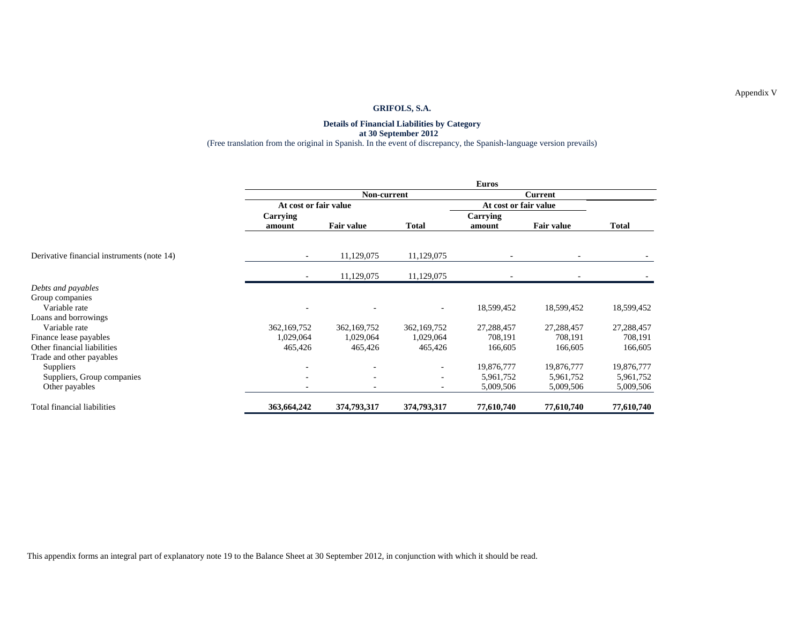#### **Details of Financial Liabilities by Category at 30 September 2012**  (Free translation from the original in Spanish. In the event of discrepancy, the Spanish-language version prevails)

|                                            | Euros                 |                   |                          |                       |                   |            |
|--------------------------------------------|-----------------------|-------------------|--------------------------|-----------------------|-------------------|------------|
|                                            |                       | Non-current       |                          |                       |                   |            |
|                                            | At cost or fair value |                   |                          | At cost or fair value |                   |            |
|                                            | Carrying<br>amount    | <b>Fair value</b> | <b>Total</b>             | Carrying<br>amount    | <b>Fair value</b> | Total      |
| Derivative financial instruments (note 14) |                       | 11,129,075        | 11,129,075               |                       |                   |            |
|                                            |                       | 11,129,075        | 11,129,075               |                       |                   |            |
| Debts and payables                         |                       |                   |                          |                       |                   |            |
| Group companies                            |                       |                   |                          |                       |                   |            |
| Variable rate                              |                       |                   | ٠                        | 18,599,452            | 18,599,452        | 18,599,452 |
| Loans and borrowings                       |                       |                   |                          |                       |                   |            |
| Variable rate                              | 362,169,752           | 362,169,752       | 362,169,752              | 27,288,457            | 27,288,457        | 27,288,457 |
| Finance lease payables                     | 1,029,064             | 1,029,064         | 1,029,064                | 708,191               | 708,191           | 708,191    |
| Other financial liabilities                | 465,426               | 465,426           | 465,426                  | 166,605               | 166,605           | 166,605    |
| Trade and other payables                   |                       |                   |                          |                       |                   |            |
| <b>Suppliers</b>                           |                       |                   | $\sim$                   | 19,876,777            | 19,876,777        | 19,876,777 |
| Suppliers, Group companies                 |                       | $\overline{a}$    | $\sim$                   | 5,961,752             | 5,961,752         | 5,961,752  |
| Other payables                             |                       |                   | $\overline{\phantom{a}}$ | 5,009,506             | 5,009,506         | 5,009,506  |
| Total financial liabilities                | 363,664,242           | 374,793,317       | 374,793,317              | 77,610,740            | 77,610,740        | 77,610,740 |

This appendix forms an integral part of explanatory note 19 to the Balance Sheet at 30 September 2012, in conjunction with which it should be read.

Appendix V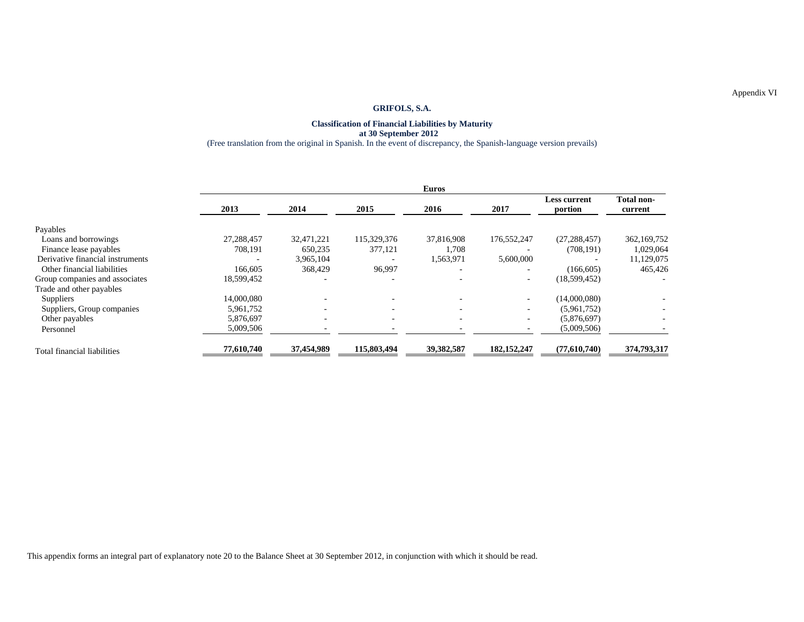#### **Classification of Financial Liabilities by Maturity at 30 September 2012**  (Free translation from the original in Spanish. In the event of discrepancy, the Spanish-language version prevails)

|                                  | <b>Euros</b>             |                          |                          |                          |               |                                |                              |  |
|----------------------------------|--------------------------|--------------------------|--------------------------|--------------------------|---------------|--------------------------------|------------------------------|--|
|                                  | 2013                     | 2014                     | 2015                     | 2016                     | 2017          | <b>Less current</b><br>portion | <b>Total non-</b><br>current |  |
| Payables                         |                          |                          |                          |                          |               |                                |                              |  |
| Loans and borrowings             | 27,288,457               | 32,471,221               | 115,329,376              | 37,816,908               | 176,552,247   | (27, 288, 457)                 | 362,169,752                  |  |
| Finance lease payables           | 708,191                  | 650,235                  | 377,121                  | 1.708                    |               | (708.191)                      | 1,029,064                    |  |
| Derivative financial instruments | $\overline{\phantom{0}}$ | 3,965,104                |                          | 1,563,971                | 5,600,000     |                                | 11,129,075                   |  |
| Other financial liabilities      | 166,605                  | 368,429                  | 96,997                   |                          |               | (166, 605)                     | 465,426                      |  |
| Group companies and associates   | 18,599,452               |                          | $\overline{\phantom{0}}$ |                          | $\sim$        | (18, 599, 452)                 |                              |  |
| Trade and other payables         |                          |                          |                          |                          |               |                                |                              |  |
| Suppliers                        | 14,000,080               |                          |                          |                          |               | (14,000,080)                   |                              |  |
| Suppliers, Group companies       | 5,961,752                | $\overline{\phantom{0}}$ | $\overline{\phantom{0}}$ | $\overline{\phantom{0}}$ |               | (5,961,752)                    |                              |  |
| Other payables                   | 5,876,697                | $\overline{\phantom{0}}$ | $\overline{\phantom{a}}$ | $\overline{\phantom{0}}$ |               | (5,876,697)                    |                              |  |
| Personnel                        | 5,009,506                |                          |                          |                          |               | (5,009,506)                    |                              |  |
| Total financial liabilities      | 77,610,740               | 37,454,989               | 115,803,494              | 39,382,587               | 182, 152, 247 | (77,610,740)                   | 374,793,317                  |  |

This appendix forms an integral part of explanatory note 20 to the Balance Sheet at 30 September 2012, in conjunction with which it should be read.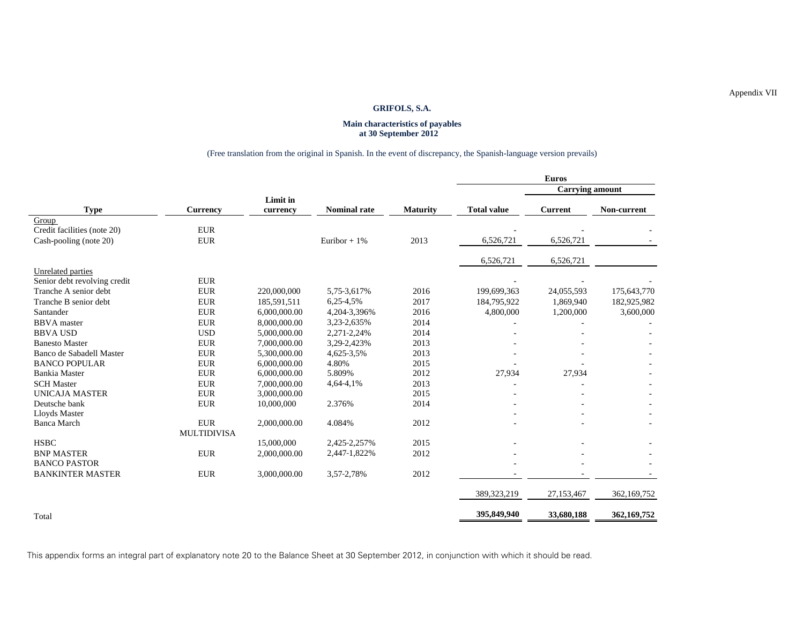#### **Main characteristics of payables at 30 September 2012**

## (Free translation from the original in Spanish. In the event of discrepancy, the Spanish-language version prevails)

|                              |                    |              |                     |          |                    | <b>Euros</b>           |             |
|------------------------------|--------------------|--------------|---------------------|----------|--------------------|------------------------|-------------|
|                              |                    |              |                     |          |                    | <b>Carrying amount</b> |             |
|                              |                    | Limit in     |                     |          |                    |                        |             |
| <b>Type</b>                  | Currency           | currency     | <b>Nominal rate</b> | Maturity | <b>Total value</b> | <b>Current</b>         | Non-current |
| Group                        |                    |              |                     |          |                    |                        |             |
| Credit facilities (note 20)  | <b>EUR</b>         |              |                     |          |                    |                        |             |
| Cash-pooling (note 20)       | <b>EUR</b>         |              | Euribor + $1\%$     | 2013     | 6,526,721          | 6,526,721              |             |
|                              |                    |              |                     |          | 6,526,721          | 6,526,721              |             |
| Unrelated parties            |                    |              |                     |          |                    |                        |             |
| Senior debt revolving credit | <b>EUR</b>         |              |                     |          |                    |                        |             |
| Tranche A senior debt        | <b>EUR</b>         | 220,000,000  | 5,75-3,617%         | 2016     | 199,699,363        | 24,055,593             | 175,643,770 |
| Tranche B senior debt        | <b>EUR</b>         | 185,591,511  | 6,25-4,5%           | 2017     | 184,795,922        | 1,869,940              | 182,925,982 |
| Santander                    | <b>EUR</b>         | 6.000.000.00 | 4,204-3,396%        | 2016     | 4,800,000          | 1,200,000              | 3,600,000   |
| <b>BBVA</b> master           | <b>EUR</b>         | 8,000,000.00 | 3,23-2,635%         | 2014     |                    |                        |             |
| <b>BBVA USD</b>              | <b>USD</b>         | 5,000,000.00 | 2,271-2,24%         | 2014     |                    |                        |             |
| <b>Banesto Master</b>        | <b>EUR</b>         | 7,000,000.00 | 3,29-2,423%         | 2013     |                    |                        |             |
| Banco de Sabadell Master     | ${\rm EUR}$        | 5,300,000.00 | 4,625-3,5%          | 2013     |                    |                        |             |
| <b>BANCO POPULAR</b>         | <b>EUR</b>         | 6,000,000.00 | 4.80%               | 2015     |                    |                        |             |
| <b>Bankia</b> Master         | <b>EUR</b>         | 6,000,000.00 | 5.809%              | 2012     | 27,934             | 27,934                 |             |
| <b>SCH Master</b>            | <b>EUR</b>         | 7,000,000.00 | 4,64-4,1%           | 2013     |                    |                        |             |
| <b>UNICAJA MASTER</b>        | <b>EUR</b>         | 3,000,000.00 |                     | 2015     |                    |                        |             |
| Deutsche bank                | <b>EUR</b>         | 10,000,000   | 2.376%              | 2014     |                    |                        |             |
| Lloyds Master                |                    |              |                     |          |                    |                        |             |
| <b>Banca March</b>           | <b>EUR</b>         | 2,000,000.00 | 4.084%              | 2012     |                    |                        |             |
|                              | <b>MULTIDIVISA</b> |              |                     |          |                    |                        |             |
| <b>HSBC</b>                  |                    | 15,000,000   | 2,425-2,257%        | 2015     |                    |                        |             |
| <b>BNP MASTER</b>            | <b>EUR</b>         | 2,000,000.00 | 2,447-1,822%        | 2012     |                    |                        |             |
| <b>BANCO PASTOR</b>          |                    |              |                     |          |                    |                        |             |
| <b>BANKINTER MASTER</b>      | <b>EUR</b>         | 3,000,000.00 | 3,57-2,78%          | 2012     |                    |                        |             |
|                              |                    |              |                     |          | 389,323,219        | 27,153,467             | 362,169,752 |
| Total                        |                    |              |                     |          | 395,849,940        | 33,680,188             | 362,169,752 |

This appendix forms an integral part of explanatory note 20 to the Balance Sheet at 30 September 2012, in conjunction with which it should be read.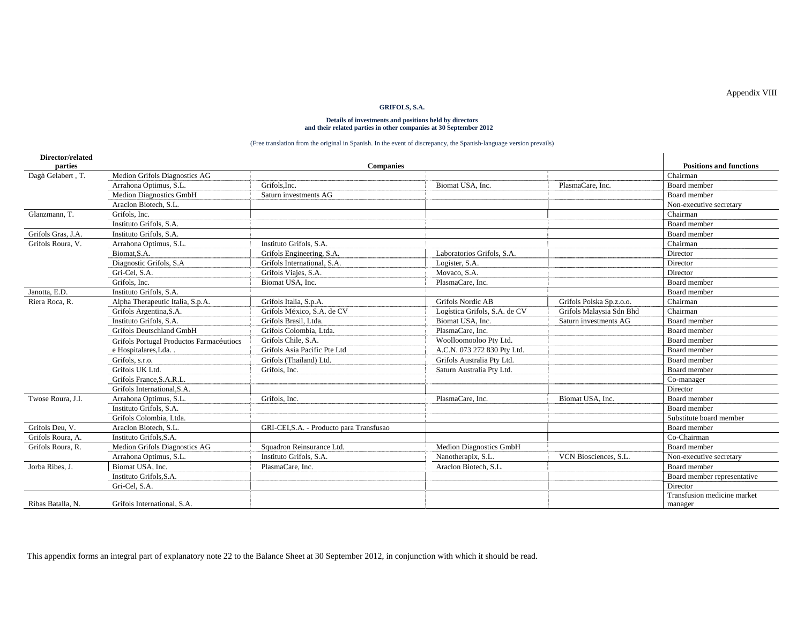# **Details of investments and positions held by directors and their related parties in other companies at 30 September 2012**

#### (Free translation from the original in Spanish. In the event of discrepancy, the Spanish-language version prevails)

| Director/related<br>parties |                                          | <b>Companies</b>                         |                               |                          | <b>Positions and functions</b>         |
|-----------------------------|------------------------------------------|------------------------------------------|-------------------------------|--------------------------|----------------------------------------|
| Dagà Gelabert, T.           | Medion Grifols Diagnostics AG            |                                          |                               |                          | Chairman                               |
|                             | Arrahona Optimus, S.L.                   | Grifols.Inc.                             | Biomat USA, Inc.              | PlasmaCare, Inc.         | Board member                           |
|                             | <b>Medion Diagnostics GmbH</b>           | Saturn investments AG                    |                               |                          | Board member                           |
|                             | Araclon Biotech, S.L.                    |                                          |                               |                          | Non-executive secretary                |
| Glanzmann, T.               | Grifols, Inc.                            |                                          |                               |                          | Chairman                               |
|                             | Instituto Grifols, S.A.                  |                                          |                               |                          | Board member                           |
| Grifols Gras, J.A.          | Instituto Grifols, S.A.                  |                                          |                               |                          | Board member                           |
| Grifols Roura, V.           | Arrahona Optimus, S.L.                   | Instituto Grifols, S.A.                  |                               |                          | Chairman                               |
|                             | Biomat <sub>.S.A.</sub>                  | Grifols Engineering, S.A.                | Laboratorios Grifols, S.A.    |                          | Director                               |
|                             | Diagnostic Grifols, S.A.                 | Grifols International, S.A.              | Logister, S.A.                |                          | Director                               |
|                             | Gri-Cel, S.A.                            | Grifols Viajes, S.A.                     | Movaco, S.A.                  |                          | Director                               |
|                             | Grifols, Inc.                            | Biomat USA, Inc.                         | PlasmaCare, Inc.              |                          | Board member                           |
| Janotta, E.D.               | Instituto Grifols, S.A.                  |                                          |                               |                          | Board member                           |
| Riera Roca, R.              | Alpha Therapeutic Italia, S.p.A.         | Grifols Italia, S.p.A.                   | <b>Grifols Nordic AB</b>      | Grifols Polska Sp.z.o.o. | Chairman                               |
|                             | Grifols Argentina, S.A.                  | Grifols México, S.A. de CV               | Logística Grifols, S.A. de CV | Grifols Malaysia Sdn Bhd | Chairman                               |
|                             | Instituto Grifols, S.A.                  | Grifols Brasil, Ltda.                    | Biomat USA, Inc.              | Saturn investments AG    | Board member                           |
|                             | <b>Grifols Deutschland GmbH</b>          | Grifols Colombia, Ltda.                  | PlasmaCare, Inc.              |                          | Board member                           |
|                             | Grifols Portugal Productos Farmacéutiocs | Grifols Chile, S.A.                      | Woolloomooloo Pty Ltd.        |                          | Board member                           |
|                             | e Hospitalares, Lda                      | Grifols Asia Pacific Pte Ltd             | A.C.N. 073 272 830 Pty Ltd.   |                          | Board member                           |
|                             | Grifols, s.r.o.                          | Grifols (Thailand) Ltd.                  | Grifols Australia Pty Ltd.    |                          | Board member                           |
|                             | Grifols UK Ltd.                          | Grifols, Inc.                            | Saturn Australia Pty Ltd.     |                          | Board member                           |
|                             | Grifols France, S.A.R.L.                 |                                          |                               |                          | Co-manager                             |
|                             | Grifols International, S.A.              |                                          |                               |                          | Director                               |
| Twose Roura, J.I.           | Arrahona Optimus, S.L.                   | Grifols, Inc.                            | PlasmaCare, Inc.              | Biomat USA, Inc.         | Board member                           |
|                             | Instituto Grifols, S.A.                  |                                          |                               |                          | Board member                           |
|                             | Grifols Colombia, Ltda.                  |                                          |                               |                          | Substitute board member                |
| Grifols Deu, V.             | Araclon Biotech, S.L.                    | GRI-CEI, S.A. - Producto para Transfusao |                               |                          | Board member                           |
| Grifols Roura, A.           | Instituto Grifols.S.A.                   |                                          |                               |                          | Co-Chairman                            |
| Grifols Roura, R.           | Medion Grifols Diagnostics AG            | Squadron Reinsurance Ltd.                | Medion Diagnostics GmbH       |                          | Board member                           |
|                             | Arrahona Optimus, S.L.                   | Instituto Grifols, S.A.                  | Nanotherapix, S.L.            | VCN Biosciences, S.L.    | Non-executive secretary                |
| Jorba Ribes, J.             | Biomat USA, Inc.                         | PlasmaCare, Inc.                         | Araclon Biotech, S.L.         |                          | Board member                           |
|                             | Instituto Grifols.S.A.                   |                                          |                               |                          | Board member representative            |
|                             | Gri-Cel, S.A.                            |                                          |                               |                          | Director                               |
| Ribas Batalla, N.           | Grifols International, S.A.              |                                          |                               |                          | Transfusion medicine market<br>manager |

This appendix forms an integral part of explanatory note 22 to the Balance Sheet at 30 September 2012, in conjunction with which it should be read.

Appendix VIII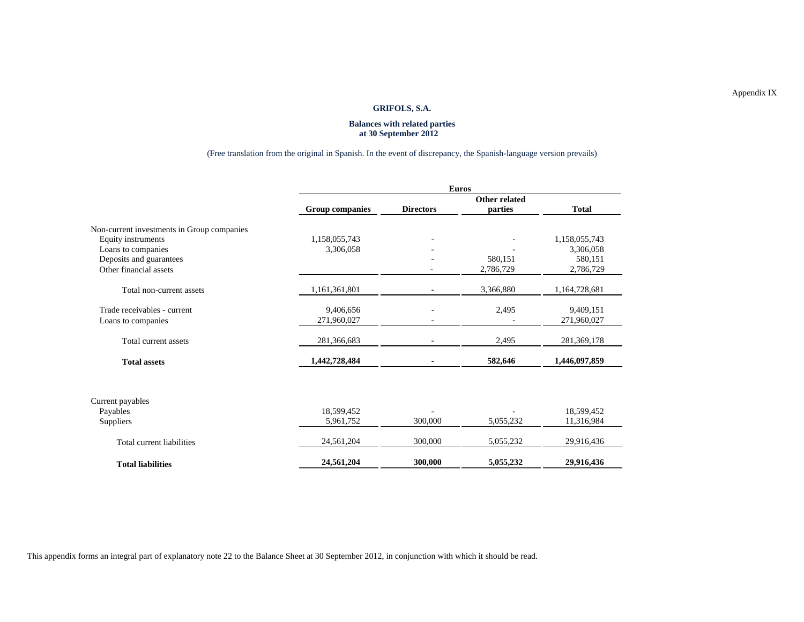#### **Balances with related parties at 30 September 2012**

## (Free translation from the original in Spanish. In the event of discrepancy, the Spanish-language version prevails)

|                                            | <b>Euros</b>           |                  |               |               |  |  |  |
|--------------------------------------------|------------------------|------------------|---------------|---------------|--|--|--|
|                                            |                        |                  | Other related |               |  |  |  |
|                                            | <b>Group companies</b> | <b>Directors</b> | parties       | <b>Total</b>  |  |  |  |
| Non-current investments in Group companies |                        |                  |               |               |  |  |  |
| Equity instruments                         | 1,158,055,743          |                  |               | 1,158,055,743 |  |  |  |
| Loans to companies                         | 3,306,058              |                  |               | 3,306,058     |  |  |  |
| Deposits and guarantees                    |                        |                  | 580,151       | 580,151       |  |  |  |
| Other financial assets                     |                        |                  | 2,786,729     | 2,786,729     |  |  |  |
| Total non-current assets                   | 1,161,361,801          |                  | 3,366,880     | 1,164,728,681 |  |  |  |
| Trade receivables - current                | 9,406,656              |                  | 2,495         | 9,409,151     |  |  |  |
| Loans to companies                         | 271,960,027            |                  |               | 271,960,027   |  |  |  |
| Total current assets                       | 281,366,683            |                  | 2,495         | 281, 369, 178 |  |  |  |
| <b>Total assets</b>                        | 1,442,728,484          |                  | 582,646       | 1,446,097,859 |  |  |  |
|                                            |                        |                  |               |               |  |  |  |
| Current payables                           |                        |                  |               |               |  |  |  |
| Payables                                   | 18,599,452             |                  |               | 18,599,452    |  |  |  |
| Suppliers                                  | 5,961,752              | 300,000          | 5,055,232     | 11,316,984    |  |  |  |
| Total current liabilities                  | 24,561,204             | 300,000          | 5,055,232     | 29,916,436    |  |  |  |
| <b>Total liabilities</b>                   | 24,561,204             | 300,000          | 5,055,232     | 29,916,436    |  |  |  |

This appendix forms an integral part of explanatory note 22 to the Balance Sheet at 30 September 2012, in conjunction with which it should be read.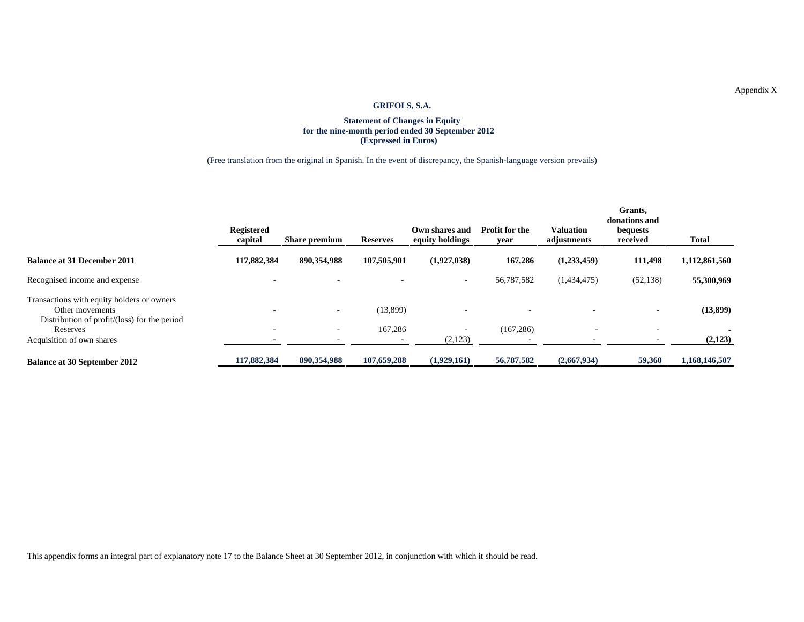## **Statement of Changes in Equity for the nine-month period ended 30 September 2012 (Expressed in Euros)**

(Free translation from the original in Spanish. In the event of discrepancy, the Spanish-language version prevails)

|                                                                                                               | <b>Registered</b><br>capital | <b>Share premium</b> | <b>Reserves</b> | Own shares and<br>equity holdings   | <b>Profit for the</b><br>year | Valuation<br>adjustments | Grants,<br>donations and<br>bequests<br>received | Total             |
|---------------------------------------------------------------------------------------------------------------|------------------------------|----------------------|-----------------|-------------------------------------|-------------------------------|--------------------------|--------------------------------------------------|-------------------|
| <b>Balance at 31 December 2011</b>                                                                            | 117,882,384                  | 890,354,988          | 107.505.901     | (1,927,038)                         | 167,286                       | (1,233,459)              | 111,498                                          | 1,112,861,560     |
| Recognised income and expense                                                                                 | $\overline{\phantom{a}}$     |                      |                 | $\overline{\phantom{a}}$            | 56,787,582                    | (1,434,475)              | (52, 138)                                        | 55,300,969        |
| Transactions with equity holders or owners<br>Other movements<br>Distribution of profit/(loss) for the period |                              |                      | (13,899)        |                                     |                               |                          |                                                  | (13,899)          |
| Reserves<br>Acquisition of own shares                                                                         | ٠                            |                      | 167,286         | $\overline{\phantom{a}}$<br>(2,123) | (167, 286)                    | $\overline{\phantom{0}}$ |                                                  | $\sim$<br>(2,123) |
| <b>Balance at 30 September 2012</b>                                                                           | 117,882,384                  | 890.354.988          | 107,659,288     | (1,929,161)                         | 56,787,582                    | (2,667,934)              | 59,360                                           | 1,168,146,507     |

This appendix forms an integral part of explanatory note 17 to the Balance Sheet at 30 September 2012, in conjunction with which it should be read.

Appendix X